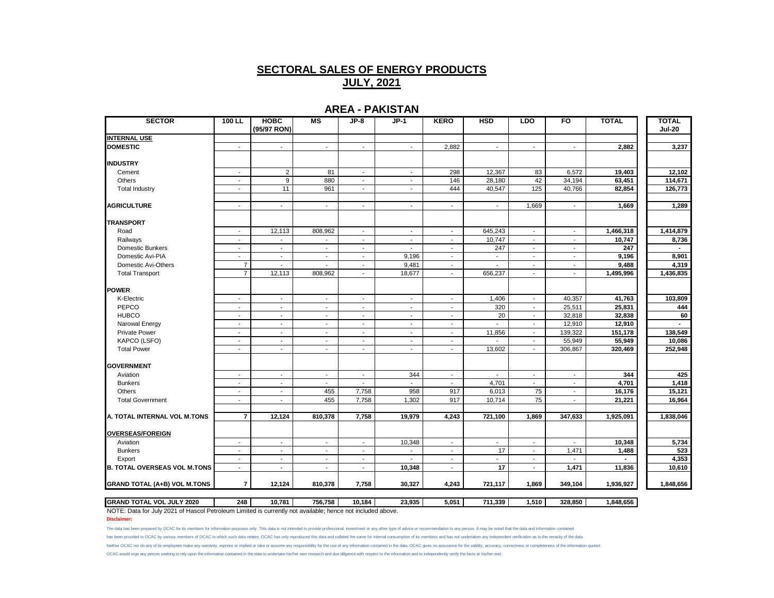#### **AREA - PAKISTAN**

| <b>SECTOR</b>                       | 100 LL                                   | <b>HOBC</b><br>(95/97 RON) | MS                               | $JP-8$                   | $JP-1$                           | <b>KERO</b>                        | <b>HSD</b>               | <b>LDO</b>               | F <sub>O</sub>           | <b>TOTAL</b> | <b>TOTAL</b><br><b>Jul-20</b> |
|-------------------------------------|------------------------------------------|----------------------------|----------------------------------|--------------------------|----------------------------------|------------------------------------|--------------------------|--------------------------|--------------------------|--------------|-------------------------------|
| <b>INTERNAL USE</b>                 |                                          |                            |                                  |                          |                                  |                                    |                          |                          |                          |              |                               |
| <b>DOMESTIC</b>                     | $\tilde{\phantom{a}}$                    | $\blacksquare$             | $\blacksquare$                   | $\overline{\phantom{a}}$ | $\overline{\phantom{a}}$         | 2,882                              | $\overline{\phantom{a}}$ | $\overline{\phantom{a}}$ | $\overline{\phantom{a}}$ | 2,882        | 3,237                         |
| <b>INDUSTRY</b>                     |                                          |                            |                                  |                          |                                  |                                    |                          |                          |                          |              |                               |
| Cement                              | $\blacksquare$                           | $\overline{2}$             | 81                               | $\blacksquare$           | $\blacksquare$                   | 298                                | 12,367                   | 83                       | 6,572                    | 19,403       | 12,102                        |
| <b>Others</b>                       | $\blacksquare$                           | $\boldsymbol{9}$           | 880                              | $\blacksquare$           | $\overline{\phantom{a}}$         | 146                                | 28,180                   | 42                       | 34,194                   | 63,451       | 114,671                       |
| <b>Total Industry</b>               | $\overline{\phantom{a}}$                 | 11                         | 961                              | $\sim$                   | $\sim$                           | 444                                | 40,547                   | 125                      | 40,766                   | 82,854       | 126,773                       |
| <b>AGRICULTURE</b>                  | $\overline{\phantom{a}}$                 | $\blacksquare$             | $\overline{\phantom{a}}$         | $\blacksquare$           | $\overline{\phantom{a}}$         | $\sim$                             | $\overline{\phantom{a}}$ | 1,669                    | $\blacksquare$           | 1,669        | 1,289                         |
| <b>TRANSPORT</b>                    |                                          |                            |                                  |                          |                                  |                                    |                          |                          |                          |              |                               |
| Road                                | $\blacksquare$                           | 12,113                     | 808,962                          | $\sim$                   | $\sim$                           | $\blacksquare$                     | 645,243                  | $\sim$                   | $\overline{\phantom{a}}$ | 1,466,318    | 1,414,879                     |
| Railways                            | $\blacksquare$                           |                            |                                  | $\sim$                   | $\sim$                           | $\overline{\phantom{a}}$           | 10,747                   | $\sim$                   | $\sim$                   | 10,747       | 8,736                         |
| Domestic Bunkers                    | $\overline{\phantom{a}}$                 | $\blacksquare$             | $\blacksquare$                   | $\overline{\phantom{a}}$ | $\overline{\phantom{a}}$         | $\overline{\phantom{a}}$           | 247                      | $\overline{\phantom{a}}$ | $\overline{\phantom{a}}$ | 247          |                               |
| Domestic Avi-PIA                    | $\sim$                                   | $\blacksquare$             | ٠                                | $\overline{\phantom{a}}$ | 9,196                            | $\overline{\phantom{a}}$           | $\sim$                   | $\overline{\phantom{a}}$ | $\overline{\phantom{a}}$ | 9,196        | 8,901                         |
| Domestic Avi-Others                 | $\overline{7}$                           | $\overline{\phantom{a}}$   | $\sim$                           | $\sim$                   | 9,481                            | $\sim$                             | $\blacksquare$           | $\blacksquare$           | $\sim$                   | 9,488        | 4,319                         |
| <b>Total Transport</b>              | $\overline{7}$                           | 12,113                     | 808,962                          | $\sim$                   | 18,677                           | $\sim$                             | 656,237                  | $\tilde{\phantom{a}}$    | $\overline{\phantom{a}}$ | 1,495,996    | 1,436,835                     |
| <b>POWER</b>                        |                                          |                            |                                  |                          |                                  |                                    |                          |                          |                          |              |                               |
| K-Electric                          | $\overline{\phantom{a}}$                 | $\overline{\phantom{a}}$   | $\sim$                           | $\sim$                   | $\overline{\phantom{a}}$         | $\sim$                             | 1,406                    | $\sim$                   | 40,357                   | 41,763       | 103,809                       |
| PEPCO                               | $\sim$                                   | $\mathbf{r}$               | $\sim$                           | $\mathcal{L}$            | $\blacksquare$                   | $\sim$                             | 320                      | $\overline{\phantom{a}}$ | 25,511                   | 25,831       | 444                           |
| <b>HUBCO</b>                        | $\overline{\phantom{a}}$                 | $\sim$                     | $\blacksquare$                   | $\sim$                   | $\sim$                           | $\blacksquare$                     | 20                       | $\overline{\phantom{a}}$ | 32,818                   | 32,838       | 60                            |
| Narowal Energy                      | $\sim$                                   | $\sim$                     | $\overline{\phantom{a}}$         | $\sim$                   | $\sim$                           | $\blacksquare$                     |                          | $\tilde{\phantom{a}}$    | 12,910                   | 12,910       |                               |
| <b>Private Power</b>                | $\sim$                                   | $\sim$                     | $\sim$                           | $\sim$                   | $\blacksquare$                   | $\sim$                             | 11,856                   | $\sim$                   | 139,322                  | 151,178      | 138,549                       |
| KAPCO (LSFO)                        | $\overline{\phantom{a}}$                 | $\blacksquare$             | $\blacksquare$                   | $\sim$                   | $\overline{\phantom{a}}$         | $\sim$                             | $\blacksquare$           | $\overline{\phantom{a}}$ | 55,949                   | 55,949       | 10,086                        |
| <b>Total Power</b>                  | $\blacksquare$                           | $\sim$                     | $\blacksquare$                   | $\sim$                   | $\overline{\phantom{a}}$         | $\sim$                             | 13,602                   | $\overline{\phantom{a}}$ | 306,867                  | 320,469      | 252,948                       |
| <b>GOVERNMENT</b>                   |                                          |                            |                                  |                          |                                  |                                    |                          |                          |                          |              |                               |
| Aviation                            | $\blacksquare$                           | $\sim$                     | $\sim$                           | $\sim$                   | 344                              | $\sim$                             | $\sim$                   | $\blacksquare$           | $\sim$                   | 344          | 425                           |
| <b>Bunkers</b>                      | $\overline{\phantom{a}}$                 | $\sim$                     | $\sim$                           | $\sim$                   | $\blacksquare$                   | $\sim$                             | 4,701                    | $\overline{\phantom{a}}$ | $\blacksquare$           | 4,701        | 1,418                         |
| <b>Others</b>                       | $\blacksquare$                           | $\mathbf{r}$               | 455                              | 7,758                    | 958                              | 917                                | 6,013                    | 75                       | $\blacksquare$           | 16,176       | 15,121                        |
| <b>Total Government</b>             | $\overline{\phantom{a}}$                 | $\blacksquare$             | 455                              | 7,758                    | 1,302                            | 917                                | 10,714                   | 75                       | $\blacksquare$           | 21,221       | 16,964                        |
| A. TOTAL INTERNAL VOL M.TONS        | $\overline{7}$                           | 12,124                     | 810,378                          | 7,758                    | 19,979                           | 4,243                              | 721,100                  | 1,869                    | 347,633                  | 1,925,091    | 1,838,046                     |
|                                     |                                          |                            |                                  |                          |                                  |                                    |                          |                          |                          |              |                               |
| <b>OVERSEAS/FOREIGN</b>             |                                          |                            |                                  |                          |                                  |                                    |                          |                          |                          |              |                               |
| Aviation                            | $\sim$                                   | $\sim$                     | $\sim$                           | $\sim$                   | 10,348                           | $\sim$                             | $\sim$<br>17             | $\sim$                   | $\sim$                   | 10,348       | 5,734                         |
| <b>Bunkers</b><br>Export            | $\overline{\phantom{a}}$<br>$\mathbf{r}$ | $\sim$<br>$\sim$           | $\blacksquare$<br>$\blacksquare$ | $\blacksquare$<br>$\sim$ | $\blacksquare$<br>$\overline{a}$ | $\overline{\phantom{a}}$<br>$\sim$ | $\overline{a}$           | $\sim$<br>$\sim$         | 1,471                    | 1,488        | 523<br>4,353                  |
| <b>B. TOTAL OVERSEAS VOL M.TONS</b> | $\sim$                                   | $\overline{a}$             | $\overline{\phantom{a}}$         | $\blacksquare$           | 10,348                           | $\overline{\phantom{a}}$           | 17                       | $\overline{\phantom{a}}$ | 1,471                    | 11,836       | 10,610                        |
| <b>GRAND TOTAL (A+B) VOL M.TONS</b> | $\overline{7}$                           | 12,124                     | 810,378                          | 7,758                    | 30,327                           | 4,243                              | 721,117                  | 1,869                    | 349,104                  | 1,936,927    | 1,848,656                     |
|                                     |                                          |                            |                                  |                          |                                  |                                    |                          |                          |                          |              |                               |
| <b>GRAND TOTAL VOL JULY 2020</b>    | 248                                      | 10,781                     | 756,758                          | 10,184                   | 23,935                           | 5,051                              | 711,339                  | 1,510                    | 328,850                  | 1,848,656    |                               |

NOTE: Data for July 2021 of Hascol Petroleum Limited is currently not available; hence not included above.

The data has been prepared by OCAC for its members for information purposes only. This data is not intended to provide professional, investment or any other type of advice or recommendation to any person. It may be noted t

has been provided to OCAC by various members of OCAC to which such data relates. OCAC has only reproduced this data and collated the same for internal consumption of its members and has not undertaken any independent verif

Neither OCAC nor do any of its employees make any warranty, express or implied or take or assume any responsibility for the use of any information contained in the data. OCAC gives no assurance for the validity, accuracy,

OCAC would urge any person seeking to rely upon the information contained in the data to undertake his/her own research and due diligence with respect to the information and to independently verify the facts at his/her end

**Disclaimer:**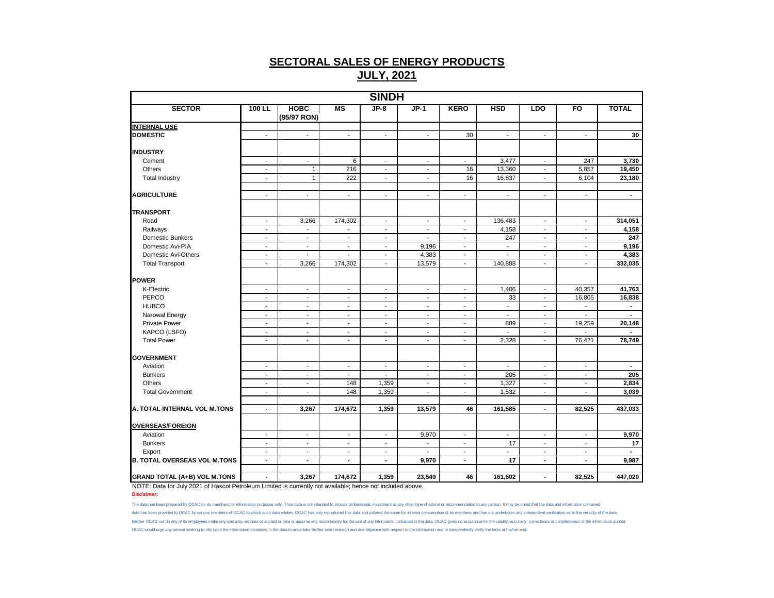|                                     |                          |                          |                          | <b>SINDH</b>             |                             |                          |                          |                          |                          |                |
|-------------------------------------|--------------------------|--------------------------|--------------------------|--------------------------|-----------------------------|--------------------------|--------------------------|--------------------------|--------------------------|----------------|
| <b>SECTOR</b>                       | $100$ LL                 | новс<br>(95/97 RON)      | MS                       | $JP-8$                   | $JP-1$                      | <b>KERO</b>              | <b>HSD</b>               | <b>LDO</b>               | FO                       | <b>TOTAL</b>   |
| <b>INTERNAL USE</b>                 |                          |                          |                          |                          |                             |                          |                          |                          |                          |                |
| <b>DOMESTIC</b>                     | $\overline{\phantom{a}}$ | $\overline{\phantom{a}}$ | $\overline{\phantom{a}}$ | $\overline{\phantom{a}}$ | $\overline{\phantom{a}}$    | 30                       | $\overline{\phantom{a}}$ | $\overline{\phantom{a}}$ | $\overline{\phantom{a}}$ | 30             |
| <b>INDUSTRY</b>                     |                          |                          |                          |                          |                             |                          |                          |                          |                          |                |
| Cement                              | $\sim$                   | $\sim$                   | 6                        | $\sim$                   | $\blacksquare$              | $\sim$                   | 3,477                    | $\overline{\phantom{a}}$ | 247                      | 3,730          |
| <b>Others</b>                       | $\overline{a}$           | $\mathbf{1}$             | 216                      | $\overline{\phantom{a}}$ | $\overline{\phantom{a}}$    | 16                       | 13,360                   | $\overline{\phantom{a}}$ | 5,857                    | 19,450         |
| <b>Total Industry</b>               | $\blacksquare$           | $\mathbf{1}$             | 222                      | $\blacksquare$           | $\blacksquare$              | 16                       | 16,837                   | $\overline{\phantom{a}}$ | 6,104                    | 23,180         |
| <b>AGRICULTURE</b>                  | $\sim$                   | $\blacksquare$           | $\blacksquare$           | $\sim$                   | $\blacksquare$              | $\blacksquare$           | $\blacksquare$           | $\blacksquare$           | $\blacksquare$           | $\blacksquare$ |
| <b>TRANSPORT</b>                    |                          |                          |                          |                          |                             |                          |                          |                          |                          |                |
| Road                                | $\sim$                   | 3,266                    | 174,302                  | $\blacksquare$           | $\mathcal{L}_{\mathcal{A}}$ | $\blacksquare$           | 136,483                  | $\blacksquare$           | $\blacksquare$           | 314,051        |
| Railways                            | $\overline{\phantom{a}}$ |                          |                          | $\overline{\phantom{a}}$ | $\overline{\phantom{a}}$    | $\overline{\phantom{a}}$ | 4,158                    | $\overline{\phantom{a}}$ | $\overline{\phantom{a}}$ | 4,158          |
| <b>Domestic Bunkers</b>             | $\blacksquare$           | $\blacksquare$           |                          | $\blacksquare$           | $\overline{\phantom{a}}$    | $\blacksquare$           | 247                      | $\overline{\phantom{a}}$ | $\blacksquare$           | 247            |
| Domestic Avi-PIA                    | $\sim$                   | $\sim$                   | $\sim$                   | $\overline{\phantom{a}}$ | 9,196                       | $\overline{\phantom{a}}$ | $\overline{\phantom{a}}$ | $\sim$                   | $\sim$                   | 9,196          |
| Domestic Avi-Others                 | $\blacksquare$           | $\blacksquare$           | $\overline{a}$           | $\blacksquare$           | 4,383                       | $\blacksquare$           | $\overline{\phantom{a}}$ | $\blacksquare$           | $\blacksquare$           | 4,383          |
| <b>Total Transport</b>              | $\blacksquare$           | 3,266                    | 174,302                  | $\blacksquare$           | 13,579                      | $\blacksquare$           | 140,888                  | L.                       | $\blacksquare$           | 332,035        |
| <b>POWER</b>                        |                          |                          |                          |                          |                             |                          |                          |                          |                          |                |
| K-Electric                          | $\blacksquare$           | $\blacksquare$           | $\blacksquare$           | $\sim$                   | $\blacksquare$              | $\blacksquare$           | 1,406                    | $\sim$                   | 40,357                   | 41,763         |
| PEPCO                               | $\overline{\phantom{a}}$ | $\blacksquare$           | $\overline{\phantom{a}}$ | $\overline{\phantom{a}}$ | $\blacksquare$              | $\overline{\phantom{a}}$ | 33                       | $\overline{\phantom{a}}$ | 16,805                   | 16,838         |
| <b>HUBCO</b>                        | $\overline{\phantom{a}}$ | $\overline{\phantom{a}}$ | $\blacksquare$           | $\overline{\phantom{a}}$ | $\overline{\phantom{a}}$    | $\overline{\phantom{a}}$ | $\overline{\phantom{a}}$ | $\overline{\phantom{a}}$ | $\blacksquare$           | $\sim$         |
| Narowal Energy                      | $\blacksquare$           | $\sim$                   | $\sim$                   | $\blacksquare$           | $\overline{\phantom{a}}$    | $\blacksquare$           | $\blacksquare$           | $\blacksquare$           | $\blacksquare$           | $\sim$         |
| <b>Private Power</b>                | $\overline{\phantom{a}}$ | $\blacksquare$           | $\blacksquare$           | $\tilde{\phantom{a}}$    | $\blacksquare$              | $\overline{\phantom{a}}$ | 889                      | $\overline{\phantom{a}}$ | 19,259                   | 20,148         |
| KAPCO (LSFO)                        | $\overline{a}$           | $\blacksquare$           | $\blacksquare$           | $\overline{\phantom{a}}$ | $\blacksquare$              | $\overline{\phantom{a}}$ |                          | $\overline{\phantom{a}}$ |                          |                |
| <b>Total Power</b>                  | $\sim$                   | $\sim$                   | $\sim$                   | $\sim$                   | $\sim$                      | $\sim$                   | 2,328                    | $\sim$                   | 76,421                   | 78,749         |
| <b>GOVERNMENT</b>                   |                          |                          |                          |                          |                             |                          |                          |                          |                          |                |
| Aviation                            | $\overline{\phantom{a}}$ | $\overline{\phantom{a}}$ | $\overline{\phantom{a}}$ | $\blacksquare$           | $\overline{\phantom{a}}$    | $\overline{\phantom{a}}$ | $\overline{\phantom{a}}$ | $\overline{\phantom{a}}$ | $\overline{\phantom{a}}$ | $\blacksquare$ |
| <b>Bunkers</b>                      | $\blacksquare$           | $\overline{\phantom{a}}$ | $\blacksquare$           | $\overline{\phantom{a}}$ | $\blacksquare$              | $\sim$                   | 205                      | $\sim$                   | $\overline{\phantom{a}}$ | 205            |
| Others                              | $\sim$                   | $\blacksquare$           | 148                      | 1,359                    | $\blacksquare$              | $\blacksquare$           | 1,327                    | $\sim$                   | $\overline{\phantom{a}}$ | 2,834          |
| <b>Total Government</b>             | $\overline{\phantom{a}}$ | $\overline{\phantom{a}}$ | 148                      | 1,359                    | $\overline{\phantom{a}}$    | $\overline{\phantom{a}}$ | 1,532                    | $\overline{\phantom{a}}$ | $\overline{\phantom{a}}$ | 3,039          |
|                                     |                          |                          |                          |                          |                             |                          |                          |                          |                          |                |
| A. TOTAL INTERNAL VOL M.TONS        | $\blacksquare$           | 3,267                    | 174,672                  | 1,359                    | 13,579                      | 46                       | 161,585                  | $\blacksquare$           | 82,525                   | 437,033        |
| <b>OVERSEAS/FOREIGN</b>             |                          |                          |                          |                          |                             |                          |                          |                          |                          |                |
| Aviation                            | $\overline{\phantom{a}}$ | $\overline{\phantom{a}}$ | $\overline{\phantom{a}}$ | $\overline{\phantom{a}}$ | 9,970                       | $\overline{\phantom{a}}$ | $\overline{\phantom{a}}$ | $\overline{\phantom{a}}$ | $\overline{\phantom{a}}$ | 9,970          |
| <b>Bunkers</b>                      | $\sim$                   | $\blacksquare$           | $\blacksquare$           | $\sim$                   | $\blacksquare$              | $\blacksquare$           | 17                       | $\blacksquare$           | $\blacksquare$           | 17             |
| Export                              | $\overline{\phantom{a}}$ | $\sim$                   | $\blacksquare$           | $\sim$                   | $\sim$                      | $\blacksquare$           | $\blacksquare$           | $\sim$                   | $\overline{\phantom{a}}$ | $\sim$         |
| <b>B. TOTAL OVERSEAS VOL M.TONS</b> | $\blacksquare$           | $\overline{\phantom{a}}$ | $\overline{\phantom{a}}$ | $\blacksquare$           | 9,970                       | $\blacksquare$           | 17                       | $\blacksquare$           | $\overline{\phantom{a}}$ | 9,987          |
| <b>GRAND TOTAL (A+B) VOL M.TONS</b> | $\blacksquare$           | 3,267                    | 174,672                  | 1,359                    | 23,549                      | 46                       | 161,602                  | $\blacksquare$           | 82,525                   | 447,020        |

NOTE: Data for July 2021 of Hascol Petroleum Limited is currently not available; hence not included above.

**Disclaimer:**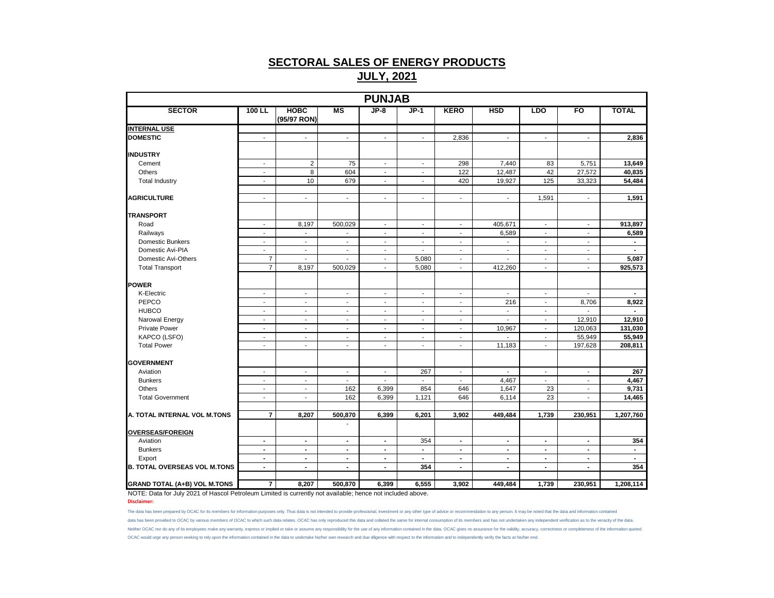|                                     |                             |                            |                          | <b>PUNJAB</b>            |                          |                          |                          |                          |                          |              |
|-------------------------------------|-----------------------------|----------------------------|--------------------------|--------------------------|--------------------------|--------------------------|--------------------------|--------------------------|--------------------------|--------------|
| <b>SECTOR</b>                       | 100 LL                      | <b>HOBC</b><br>(95/97 RON) | MS                       | $JP-8$                   | $JP-1$                   | <b>KERO</b>              | <b>HSD</b>               | <b>LDO</b>               | FO                       | <b>TOTAL</b> |
| <b>INTERNAL USE</b>                 |                             |                            |                          |                          |                          |                          |                          |                          |                          |              |
| <b>DOMESTIC</b>                     | $\sim$                      | $\blacksquare$             | $\overline{\phantom{a}}$ | $\overline{\phantom{a}}$ | $\overline{\phantom{a}}$ | 2,836                    | $\overline{\phantom{a}}$ | $\blacksquare$           | $\blacksquare$           | 2,836        |
| <b>INDUSTRY</b>                     |                             |                            |                          |                          |                          |                          |                          |                          |                          |              |
| Cement                              | $\blacksquare$              | $\overline{2}$             | 75                       | $\blacksquare$           | $\blacksquare$           | 298                      | 7,440                    | 83                       | 5,751                    | 13,649       |
| Others                              | $\overline{\phantom{a}}$    | 8                          | 604                      | $\overline{\phantom{a}}$ | $\overline{\phantom{a}}$ | 122                      | 12,487                   | 42                       | 27,572                   | 40,835       |
| <b>Total Industry</b>               | $\sim$                      | 10                         | 679                      | $\sim$                   | $\overline{\phantom{a}}$ | 420                      | 19,927                   | 125                      | 33,323                   | 54,484       |
| <b>AGRICULTURE</b>                  | $\overline{\phantom{a}}$    | $\blacksquare$             | $\blacksquare$           | $\blacksquare$           | $\overline{\phantom{a}}$ | $\overline{\phantom{a}}$ | $\overline{\phantom{a}}$ | 1,591                    | $\overline{\phantom{a}}$ | 1,591        |
| <b>TRANSPORT</b>                    |                             |                            |                          |                          |                          |                          |                          |                          |                          |              |
| Road                                | $\overline{\phantom{a}}$    | 8,197                      | 500,029                  | $\blacksquare$           | $\blacksquare$           | $\overline{\phantom{a}}$ | 405,671                  | $\sim$                   | $\overline{\phantom{a}}$ | 913,897      |
| Railways                            | $\overline{\phantom{a}}$    | $\overline{\phantom{a}}$   | $\overline{\phantom{a}}$ | $\overline{\phantom{a}}$ | $\overline{\phantom{a}}$ | $\overline{\phantom{a}}$ | 6,589                    | $\overline{\phantom{a}}$ | $\overline{\phantom{a}}$ | 6,589        |
| <b>Domestic Bunkers</b>             | $\overline{\phantom{a}}$    | $\overline{\phantom{a}}$   | $\overline{\phantom{a}}$ | $\overline{\phantom{a}}$ | $\overline{\phantom{a}}$ | $\blacksquare$           | $\overline{\phantom{a}}$ | $\overline{\phantom{a}}$ | $\overline{\phantom{a}}$ | $\sim$       |
| Domestic Avi-PIA                    | $\mathcal{L}^{\mathcal{A}}$ | $\mathcal{L}$              | $\blacksquare$           | $\sim$                   | $\tilde{\phantom{a}}$    | $\overline{\phantom{a}}$ | $\blacksquare$           | $\sim$                   | $\blacksquare$           | $\sim$       |
| Domestic Avi-Others                 | $\overline{7}$              | $\sim$                     | $\blacksquare$           | $\blacksquare$           | 5,080                    | $\blacksquare$           | $\sim$                   | $\blacksquare$           | $\overline{\phantom{a}}$ | 5,087        |
| <b>Total Transport</b>              | $\overline{7}$              | 8,197                      | 500,029                  | $\blacksquare$           | 5,080                    | $\overline{\phantom{a}}$ | 412,260                  | $\blacksquare$           | $\blacksquare$           | 925,573      |
| <b>POWER</b>                        |                             |                            |                          |                          |                          |                          |                          |                          |                          |              |
| K-Electric                          | $\blacksquare$              | $\mathbf{r}$               | $\blacksquare$           | $\mathbf{r}$             | $\tilde{\phantom{a}}$    | $\blacksquare$           | $\mathbf{r}$             | $\blacksquare$           | $\mathbf{r}$             | $\mathbf{r}$ |
| PEPCO                               | $\overline{\phantom{a}}$    | $\overline{\phantom{a}}$   | $\overline{\phantom{a}}$ | $\overline{\phantom{a}}$ | $\overline{\phantom{a}}$ | $\overline{\phantom{a}}$ | 216                      | $\overline{\phantom{a}}$ | 8,706                    | 8,922        |
| <b>HUBCO</b>                        | $\overline{\phantom{a}}$    | $\sim$                     | $\overline{\phantom{a}}$ | $\sim$                   | $\blacksquare$           | $\sim$                   | $\sim$                   | $\overline{\phantom{a}}$ | $\sim$                   | $\sim$       |
| Narowal Energy                      | $\blacksquare$              | $\blacksquare$             | $\blacksquare$           | $\overline{\phantom{a}}$ | $\blacksquare$           | $\overline{\phantom{a}}$ | $\blacksquare$           | $\blacksquare$           | 12,910                   | 12,910       |
| <b>Private Power</b>                | $\overline{\phantom{a}}$    | $\blacksquare$             | $\overline{\phantom{a}}$ | $\overline{\phantom{a}}$ | $\overline{\phantom{a}}$ | $\overline{\phantom{a}}$ | 10,967                   | $\sim$                   | 120,063                  | 131,030      |
| KAPCO (LSFO)                        | $\blacksquare$              | $\blacksquare$             | $\blacksquare$           | $\blacksquare$           | $\blacksquare$           | $\blacksquare$           |                          | $\blacksquare$           | 55,949                   | 55,949       |
| <b>Total Power</b>                  | $\sim$                      | $\overline{\phantom{a}}$   | $\overline{\phantom{a}}$ | $\sim$                   | $\overline{\phantom{a}}$ | $\overline{\phantom{a}}$ | 11,183                   | $\sim$                   | 197,628                  | 208,811      |
| <b>GOVERNMENT</b>                   |                             |                            |                          |                          |                          |                          |                          |                          |                          |              |
| Aviation                            | $\overline{\phantom{a}}$    | $\blacksquare$             | $\overline{\phantom{a}}$ | $\sim$                   | 267                      | $\blacksquare$           | $\overline{\phantom{a}}$ | $\blacksquare$           | $\sim$                   | 267          |
| <b>Bunkers</b>                      | $\overline{\phantom{a}}$    | $\sim$                     | $\blacksquare$           | $\sim$                   | $\overline{\phantom{a}}$ | $\sim$                   | 4,467                    | $\overline{\phantom{a}}$ | $\blacksquare$           | 4,467        |
| Others                              | $\sim$                      | $\blacksquare$             | 162                      | 6,399                    | 854                      | 646                      | 1,647                    | 23                       | $\blacksquare$           | 9,731        |
| <b>Total Government</b>             | $\blacksquare$              | $\blacksquare$             | 162                      | 6,399                    | 1,121                    | 646                      | 6,114                    | 23                       | $\sim$                   | 14,465       |
| A. TOTAL INTERNAL VOL M.TONS        | $\overline{7}$              | 8,207                      | 500,870                  | 6,399                    | 6,201                    | 3,902                    | 449,484                  | 1,739                    | 230,951                  | 1,207,760    |
|                                     |                             |                            | $\overline{\phantom{a}}$ |                          |                          |                          |                          |                          |                          |              |
| <b>OVERSEAS/FOREIGN</b>             |                             |                            |                          |                          |                          |                          |                          |                          |                          |              |
| Aviation                            | $\blacksquare$              | $\blacksquare$             | $\blacksquare$           | $\blacksquare$           | 354                      | $\blacksquare$           | $\blacksquare$           | $\blacksquare$           | $\blacksquare$           | 354          |
| <b>Bunkers</b>                      | $\sim$                      | $\blacksquare$             | $\blacksquare$           | $\blacksquare$           | $\blacksquare$           | $\blacksquare$           | $\blacksquare$           | $\blacksquare$           | $\blacksquare$           | $\sim$       |
| Export                              | $\blacksquare$              | $\blacksquare$             | $\blacksquare$           | $\blacksquare$           | $\blacksquare$           | $\blacksquare$           | $\blacksquare$           | $\blacksquare$           | $\blacksquare$           | $\sim$       |
| <b>B. TOTAL OVERSEAS VOL M.TONS</b> | $\blacksquare$              | $\blacksquare$             | $\blacksquare$           | $\blacksquare$           | 354                      | $\blacksquare$           | $\blacksquare$           | $\blacksquare$           | $\blacksquare$           | 354          |
| <b>GRAND TOTAL (A+B) VOL M.TONS</b> | $\overline{7}$              | 8,207                      | 500,870                  | 6,399                    | 6,555                    | 3,902                    | 449,484                  | 1,739                    | 230,951                  | 1,208,114    |

NOTE: Data for July 2021 of Hascol Petroleum Limited is currently not available; hence not included above. **Disclaimer:**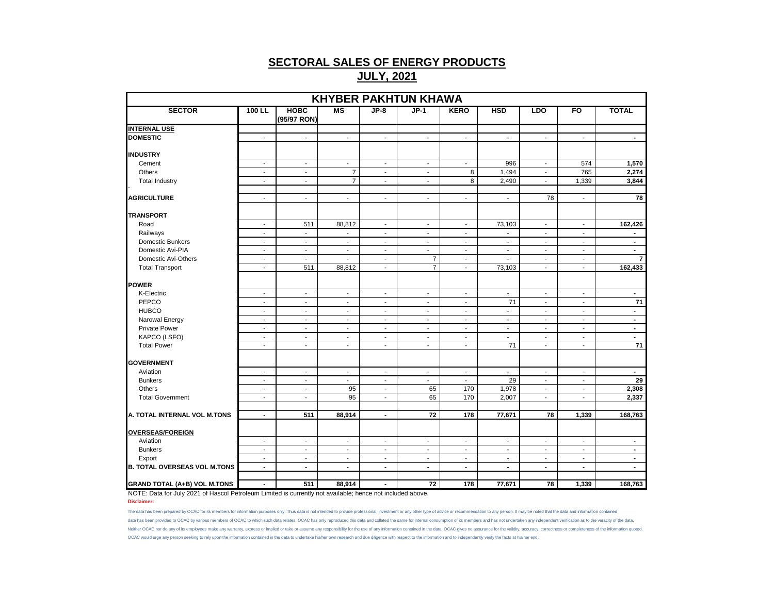|                                     |                          |                            |                          |                          | <b>KHYBER PAKHTUN KHAWA</b> |                          |                             |                |                          |                 |
|-------------------------------------|--------------------------|----------------------------|--------------------------|--------------------------|-----------------------------|--------------------------|-----------------------------|----------------|--------------------------|-----------------|
| <b>SECTOR</b>                       | 100 LL                   | <b>HOBC</b><br>(95/97 RON) | $\overline{\text{MS}}$   | $JP-8$                   | $JP-1$                      | <b>KERO</b>              | <b>HSD</b>                  | <b>LDO</b>     | FO                       | <b>TOTAL</b>    |
| <b>INTERNAL USE</b>                 |                          |                            |                          |                          |                             |                          |                             |                |                          |                 |
| <b>DOMESTIC</b>                     | $\sim$                   | $\sim$                     | $\blacksquare$           | $\overline{\phantom{a}}$ | $\blacksquare$              | $\blacksquare$           | $\overline{\phantom{a}}$    | $\blacksquare$ | $\blacksquare$           | $\blacksquare$  |
| <b>INDUSTRY</b>                     |                          |                            |                          |                          |                             |                          |                             |                |                          |                 |
| Cement                              | $\blacksquare$           | $\sim$                     | $\blacksquare$           | $\blacksquare$           | $\blacksquare$              | $\sim$                   | 996                         | $\sim$         | 574                      | 1,570           |
| Others                              | $\sim$                   | $\sim$                     | $\overline{7}$           | $\blacksquare$           | $\blacksquare$              | 8                        | 1,494                       | $\blacksquare$ | 765                      | 2,274           |
| <b>Total Industry</b>               | $\sim$                   | $\sim$                     | $\overline{7}$           | $\sim$                   | $\sim$                      | 8                        | 2,490                       | $\blacksquare$ | 1,339                    | 3,844           |
|                                     |                          |                            |                          |                          |                             |                          |                             |                |                          |                 |
| <b>AGRICULTURE</b>                  | $\sim$                   | $\overline{\phantom{a}}$   | $\overline{\phantom{a}}$ | $\overline{\phantom{a}}$ | $\overline{\phantom{a}}$    | $\overline{\phantom{a}}$ | $\overline{\phantom{a}}$    | 78             | $\sim$                   | 78              |
| <b>TRANSPORT</b>                    |                          |                            |                          |                          |                             |                          |                             |                |                          |                 |
| Road                                | $\overline{\phantom{a}}$ | 511                        | 88,812                   | $\overline{\phantom{a}}$ | $\overline{a}$              | $\overline{\phantom{a}}$ | 73,103                      | $\blacksquare$ | $\overline{\phantom{a}}$ | 162,426         |
| Railways                            | $\sim$                   | $\blacksquare$             | $\blacksquare$           | $\overline{\phantom{a}}$ | $\blacksquare$              | $\sim$                   | $\sim$                      | $\sim$         | $\blacksquare$           | $\blacksquare$  |
| <b>Domestic Bunkers</b>             | $\blacksquare$           | $\sim$                     | $\sim$                   | $\blacksquare$           | $\blacksquare$              | $\blacksquare$           | $\sim$                      | $\blacksquare$ | $\overline{\phantom{a}}$ | $\blacksquare$  |
| Domestic Avi-PIA                    | $\sim$                   | $\sim$                     | $\overline{\phantom{a}}$ | $\sim$                   | $\blacksquare$              | $\blacksquare$           | $\sim$                      | $\blacksquare$ | $\blacksquare$           | $\blacksquare$  |
| Domestic Avi-Others                 | $\blacksquare$           | $\overline{\phantom{a}}$   | $\overline{\phantom{a}}$ | $\overline{\phantom{a}}$ | $\overline{7}$              | $\overline{\phantom{a}}$ | $\overline{\phantom{a}}$    | $\blacksquare$ | $\overline{\phantom{a}}$ | $\overline{7}$  |
| <b>Total Transport</b>              | $\sim$                   | 511                        | 88,812                   | $\blacksquare$           | $\overline{7}$              | $\sim$                   | 73,103                      | $\blacksquare$ | $\overline{\phantom{a}}$ | 162,433         |
|                                     |                          |                            |                          |                          |                             |                          |                             |                |                          |                 |
| <b>POWER</b>                        |                          |                            |                          |                          |                             |                          |                             |                |                          |                 |
| K-Electric                          | $\overline{\phantom{a}}$ | $\overline{\phantom{a}}$   | $\blacksquare$           | $\overline{\phantom{a}}$ | $\overline{\phantom{a}}$    | $\sim$                   | $\sim$                      | $\sim$         | $\overline{\phantom{a}}$ | $\blacksquare$  |
| PEPCO                               | $\sim$                   | $\sim$                     | $\sim$                   | $\overline{\phantom{a}}$ | $\sim$                      | $\sim$                   | 71                          | $\blacksquare$ | $\sim$                   | 71              |
| <b>HUBCO</b>                        | $\blacksquare$           | $\sim$                     | $\overline{\phantom{a}}$ | $\overline{\phantom{a}}$ | $\blacksquare$              | $\sim$                   | $\sim$                      | $\sim$         | $\blacksquare$           | $\blacksquare$  |
| Narowal Energy                      | $\blacksquare$           | $\overline{\phantom{a}}$   | $\blacksquare$           | $\blacksquare$           | $\overline{\phantom{a}}$    | $\blacksquare$           | $\sim$                      | $\blacksquare$ | $\overline{\phantom{a}}$ | $\blacksquare$  |
| Private Power                       | $\sim$                   | $\sim$                     | $\sim$                   | $\overline{\phantom{a}}$ | $\overline{\phantom{a}}$    | $\sim$                   | $\sim$                      | $\sim$         | $\sim$                   | $\blacksquare$  |
| KAPCO (LSFO)                        | $\blacksquare$           | $\blacksquare$             | $\blacksquare$           | $\blacksquare$           | $\blacksquare$              | $\blacksquare$           | $\sim$                      | $\blacksquare$ | $\overline{\phantom{a}}$ | $\blacksquare$  |
| <b>Total Power</b>                  | $\sim$                   | $\sim$                     | $\sim$                   | $\blacksquare$           | $\overline{\phantom{a}}$    | $\sim$                   | 71                          | $\sim$         | $\overline{\phantom{a}}$ | $\overline{71}$ |
| <b>GOVERNMENT</b>                   |                          |                            |                          |                          |                             |                          |                             |                |                          |                 |
| Aviation                            | $\blacksquare$           | $\sim$                     | $\blacksquare$           | $\overline{\phantom{a}}$ | $\blacksquare$              | $\sim$                   | $\sim$                      | $\blacksquare$ | $\sim$                   | $\blacksquare$  |
| <b>Bunkers</b>                      | $\sim$                   | $\overline{\phantom{a}}$   | $\overline{\phantom{a}}$ | $\overline{\phantom{a}}$ | $\overline{a}$              | $\blacksquare$           | 29                          | $\sim$         | $\overline{\phantom{a}}$ | 29              |
| Others                              | $\blacksquare$           | $\blacksquare$             | 95                       | $\blacksquare$           | 65                          | 170                      | 1,978                       | $\blacksquare$ | $\overline{\phantom{a}}$ | 2,308           |
| <b>Total Government</b>             | $\sim$                   | $\sim$                     | 95                       | $\overline{\phantom{a}}$ | 65                          | 170                      | 2,007                       | $\blacksquare$ | $\blacksquare$           | 2,337           |
|                                     |                          |                            |                          |                          |                             |                          |                             |                |                          |                 |
| A. TOTAL INTERNAL VOL M.TONS        | $\blacksquare$           | 511                        | 88,914                   | $\blacksquare$           | 72                          | 178                      | 77,671                      | 78             | 1,339                    | 168,763         |
|                                     |                          |                            |                          |                          |                             |                          |                             |                |                          |                 |
| <b>OVERSEAS/FOREIGN</b>             |                          |                            |                          |                          |                             |                          |                             |                |                          |                 |
| Aviation                            | $\mathbf{r}$             | $\sim$                     | $\mathbf{r}$             | $\blacksquare$           | $\mathbf{r}$                | $\mathbf{r}$             | $\mathcal{L}_{\mathcal{A}}$ | $\mathbf{r}$   | $\sim$                   | $\blacksquare$  |
| <b>Bunkers</b>                      | $\blacksquare$           | $\overline{\phantom{a}}$   | $\overline{\phantom{a}}$ | $\overline{\phantom{a}}$ | $\overline{a}$              | $\blacksquare$           | $\overline{\phantom{a}}$    | $\blacksquare$ | $\blacksquare$           | $\blacksquare$  |
| Export                              | $\sim$                   | $\overline{\phantom{a}}$   | $\overline{\phantom{a}}$ | $\overline{\phantom{a}}$ | $\overline{\phantom{a}}$    | $\sim$                   | $\overline{\phantom{a}}$    | $\sim$         | $\overline{\phantom{a}}$ | $\blacksquare$  |
| <b>B. TOTAL OVERSEAS VOL M.TONS</b> | $\sim$                   | $\sim$                     | $\sim$                   | $\blacksquare$           | $\sim$                      | $\sim$                   | $\sim$                      | $\blacksquare$ | $\sim$                   | $\sim$          |
| <b>GRAND TOTAL (A+B) VOL M.TONS</b> | $\blacksquare$           | 511                        | 88,914                   | $\blacksquare$           | 72                          | 178                      | 77,671                      | 78             | 1,339                    | 168,763         |

NOTE: Data for July 2021 of Hascol Petroleum Limited is currently not available; hence not included above. **Disclaimer:**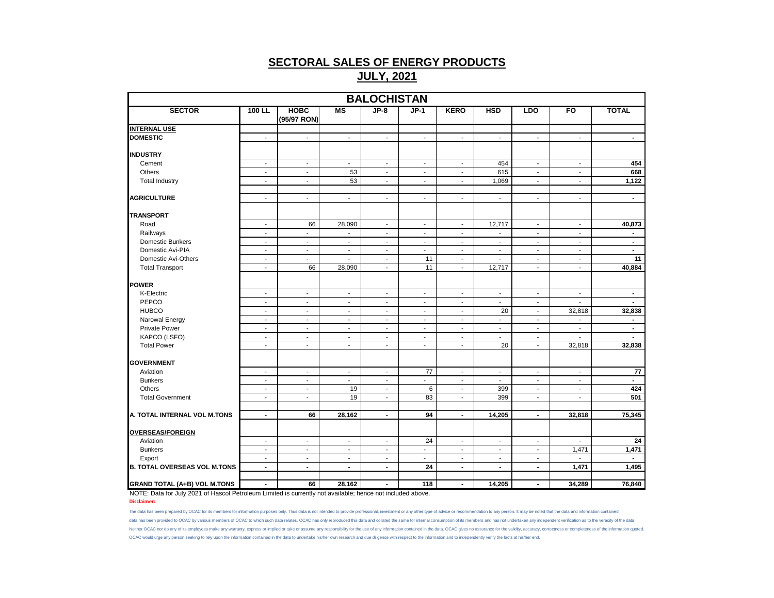|                                     |                          |                            |                          | <b>BALOCHISTAN</b>       |                          |                          |                          |                          |                          |                          |
|-------------------------------------|--------------------------|----------------------------|--------------------------|--------------------------|--------------------------|--------------------------|--------------------------|--------------------------|--------------------------|--------------------------|
| <b>SECTOR</b>                       | 100 LL                   | <b>HOBC</b><br>(95/97 RON) | $\overline{\mathsf{MS}}$ | $JP-8$                   | $JP-1$                   | <b>KERO</b>              | <b>HSD</b>               | <b>LDO</b>               | FO                       | <b>TOTAL</b>             |
| <b>INTERNAL USE</b>                 |                          |                            |                          |                          |                          |                          |                          |                          |                          |                          |
| <b>DOMESTIC</b>                     | $\sim$                   | $\blacksquare$             | $\blacksquare$           | $\blacksquare$           | $\blacksquare$           | $\sim$                   | $\overline{\phantom{a}}$ | $\overline{\phantom{a}}$ | $\blacksquare$           | $\blacksquare$           |
| <b>INDUSTRY</b>                     |                          |                            |                          |                          |                          |                          |                          |                          |                          |                          |
| Cement                              | $\overline{\phantom{a}}$ | $\blacksquare$             | $\blacksquare$           | $\blacksquare$           | $\sim$                   | $\blacksquare$           | 454                      | $\blacksquare$           | $\blacksquare$           | 454                      |
| Others                              | $\blacksquare$           | $\blacksquare$             | 53                       | $\sim$                   | $\sim$                   | $\blacksquare$           | 615                      | $\blacksquare$           | $\blacksquare$           | 668                      |
| <b>Total Industry</b>               | $\blacksquare$           | $\blacksquare$             | 53                       | $\blacksquare$           | $\sim$                   | $\sim$                   | 1,069                    | $\blacksquare$           | $\blacksquare$           | 1,122                    |
| <b>AGRICULTURE</b>                  | $\sim$                   | $\sim$                     | $\sim$                   | $\blacksquare$           | $\sim$                   | $\blacksquare$           | $\overline{\phantom{a}}$ | $\blacksquare$           | $\overline{\phantom{a}}$ | $\blacksquare$           |
| <b>TRANSPORT</b>                    |                          |                            |                          |                          |                          |                          |                          |                          |                          |                          |
| Road                                | $\sim$                   | 66                         | 28,090                   | $\sim$                   | $\blacksquare$           | $\mathbf{r}$             | 12,717                   | $\mathbf{r}$             | $\sim$                   | 40,873                   |
| Railways                            | $\overline{\phantom{a}}$ | $\blacksquare$             | $\overline{\phantom{a}}$ | $\blacksquare$           | $\blacksquare$           | $\overline{\phantom{a}}$ | $\blacksquare$           | $\overline{\phantom{a}}$ | $\overline{\phantom{a}}$ | $\blacksquare$           |
| <b>Domestic Bunkers</b>             | $\overline{\phantom{a}}$ | $\overline{\phantom{a}}$   | $\overline{\phantom{a}}$ | $\overline{\phantom{a}}$ | $\overline{\phantom{a}}$ | $\overline{\phantom{a}}$ | $\overline{\phantom{a}}$ | $\overline{\phantom{a}}$ | $\overline{\phantom{a}}$ | $\blacksquare$           |
| Domestic Avi-PIA                    | $\blacksquare$           | $\blacksquare$             | $\sim$                   | $\sim$                   | $\sim$                   | $\sim$                   | $\mathbf{r}$             | $\blacksquare$           | $\sim$                   | $\blacksquare$           |
| Domestic Avi-Others                 | $\overline{\phantom{a}}$ | $\overline{\phantom{a}}$   | $\blacksquare$           | $\overline{\phantom{a}}$ | 11                       | $\overline{\phantom{a}}$ | $\blacksquare$           | $\overline{\phantom{a}}$ | $\overline{\phantom{a}}$ | 11                       |
| <b>Total Transport</b>              | $\overline{\phantom{a}}$ | 66                         | 28,090                   | $\blacksquare$           | 11                       | $\blacksquare$           | 12,717                   | $\blacksquare$           | $\blacksquare$           | 40,884                   |
| <b>POWER</b>                        |                          |                            |                          |                          |                          |                          |                          |                          |                          |                          |
| K-Electric                          | $\overline{\phantom{a}}$ | $\overline{\phantom{a}}$   | $\overline{\phantom{a}}$ | $\overline{\phantom{a}}$ | $\overline{\phantom{a}}$ | $\overline{\phantom{a}}$ | $\overline{\phantom{a}}$ | $\overline{\phantom{a}}$ | $\overline{\phantom{a}}$ | $\blacksquare$           |
| PEPCO                               | $\overline{\phantom{a}}$ | $\overline{\phantom{a}}$   | $\sim$                   | $\overline{\phantom{a}}$ | $\blacksquare$           | $\overline{\phantom{a}}$ | $\overline{\phantom{a}}$ | $\overline{\phantom{a}}$ | $\blacksquare$           | $\blacksquare$           |
| <b>HUBCO</b>                        | $\overline{\phantom{a}}$ | $\blacksquare$             | $\blacksquare$           | $\blacksquare$           | $\blacksquare$           | $\blacksquare$           | 20                       | $\blacksquare$           | 32,818                   | 32,838                   |
| Narowal Energy                      | $\overline{\phantom{a}}$ | $\blacksquare$             | $\overline{\phantom{a}}$ | $\blacksquare$           | $\sim$                   | $\sim$                   | $\blacksquare$           | $\blacksquare$           | $\blacksquare$           | $\blacksquare$           |
| <b>Private Power</b>                | $\overline{\phantom{a}}$ | $\overline{\phantom{a}}$   | $\overline{\phantom{a}}$ | $\overline{\phantom{a}}$ | $\overline{\phantom{a}}$ | $\overline{\phantom{a}}$ | $\overline{\phantom{a}}$ | $\overline{\phantom{a}}$ | $\overline{\phantom{a}}$ | $\blacksquare$           |
| KAPCO (LSFO)                        | $\overline{\phantom{a}}$ | $\overline{\phantom{a}}$   | $\sim$                   | ۰                        | $\sim$                   | $\overline{\phantom{a}}$ | $\sim$                   | $\sim$                   | $\overline{a}$           | $\overline{\phantom{a}}$ |
| <b>Total Power</b>                  | $\sim$                   | $\sim$                     | $\sim$                   | $\blacksquare$           | $\sim$                   | $\sim$                   | 20                       | $\blacksquare$           | 32,818                   | 32,838                   |
| <b>GOVERNMENT</b>                   |                          |                            |                          |                          |                          |                          |                          |                          |                          |                          |
| Aviation                            | $\overline{\phantom{a}}$ | $\blacksquare$             | $\overline{\phantom{a}}$ | $\blacksquare$           | 77                       | $\blacksquare$           | $\blacksquare$           | $\blacksquare$           | $\sim$                   | 77                       |
| <b>Bunkers</b>                      | $\overline{\phantom{a}}$ | $\overline{\phantom{a}}$   | $\overline{\phantom{a}}$ | $\overline{\phantom{a}}$ | $\overline{\phantom{a}}$ | $\overline{\phantom{a}}$ | $\overline{\phantom{a}}$ | $\overline{\phantom{a}}$ | $\overline{\phantom{a}}$ | $\blacksquare$           |
| Others                              | $\blacksquare$           | $\mathbf{r}$               | 19                       | $\sim$                   | 6                        | $\sim$                   | 399                      | $\overline{a}$           | $\sim$                   | 424                      |
| <b>Total Government</b>             | $\overline{\phantom{a}}$ | $\overline{\phantom{a}}$   | 19                       | $\overline{\phantom{a}}$ | 83                       | $\overline{\phantom{a}}$ | 399                      | $\overline{\phantom{a}}$ | $\overline{\phantom{a}}$ | 501                      |
| A. TOTAL INTERNAL VOL M.TONS        | $\blacksquare$           | 66                         | 28,162                   | $\blacksquare$           | 94                       | $\sim$                   | 14,205                   | $\blacksquare$           | 32,818                   | 75,345                   |
|                                     |                          |                            |                          |                          |                          |                          |                          |                          |                          |                          |
| OVERSEAS/FOREIGN                    |                          |                            |                          |                          |                          |                          |                          |                          |                          |                          |
| Aviation                            | $\sim$                   | $\blacksquare$             | $\blacksquare$           | $\sim$                   | 24                       | $\sim$                   | $\blacksquare$           | $\blacksquare$           | $\sim$                   | 24                       |
| <b>Bunkers</b>                      | $\overline{\phantom{a}}$ | $\overline{\phantom{a}}$   | $\blacksquare$           | $\blacksquare$           | $\blacksquare$           | $\sim$                   | $\blacksquare$           | $\blacksquare$           | 1,471                    | 1,471                    |
| Export                              | $\overline{\phantom{a}}$ | $\sim$                     | $\sim$                   | $\blacksquare$           | $\blacksquare$           | $\sim$                   | $\overline{\phantom{a}}$ | $\blacksquare$           | $\overline{a}$           |                          |
| <b>B. TOTAL OVERSEAS VOL M.TONS</b> | $\blacksquare$           | $\blacksquare$             | $\blacksquare$           | $\blacksquare$           | 24                       | $\blacksquare$           | $\blacksquare$           | $\blacksquare$           | 1,471                    | 1,495                    |
| <b>GRAND TOTAL (A+B) VOL M.TONS</b> | $\blacksquare$           | 66                         | 28,162                   | $\blacksquare$           | 118                      | $\blacksquare$           | 14,205                   | $\blacksquare$           | 34,289                   | 76,840                   |

NOTE: Data for July 2021 of Hascol Petroleum Limited is currently not available; hence not included above. **Disclaimer:**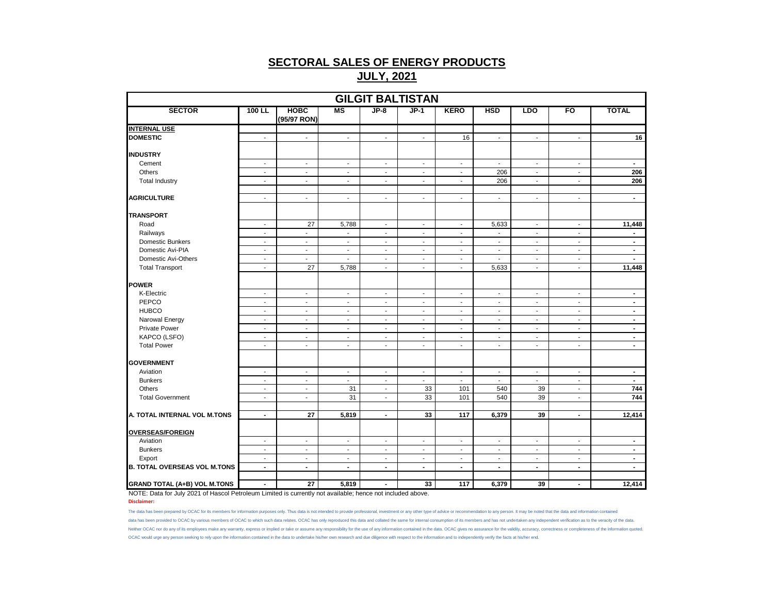|                                     |                          |                            |                          |                          | <b>GILGIT BALTISTAN</b>  |                          |                          |                          |                          |                |
|-------------------------------------|--------------------------|----------------------------|--------------------------|--------------------------|--------------------------|--------------------------|--------------------------|--------------------------|--------------------------|----------------|
| <b>SECTOR</b>                       | 100 LL                   | <b>HOBC</b><br>(95/97 RON) | $\overline{\mathsf{MS}}$ | $JP-8$                   | $JP-1$                   | <b>KERO</b>              | <b>HSD</b>               | <b>LDO</b>               | $F$ O                    | <b>TOTAL</b>   |
| <b>INTERNAL USE</b>                 |                          |                            |                          |                          |                          |                          |                          |                          |                          |                |
| <b>DOMESTIC</b>                     | $\sim$                   | $\blacksquare$             | $\blacksquare$           | $\overline{\phantom{a}}$ | $\blacksquare$           | 16                       | $\overline{\phantom{a}}$ | $\overline{\phantom{a}}$ | $\blacksquare$           | 16             |
| <b>INDUSTRY</b>                     |                          |                            |                          |                          |                          |                          |                          |                          |                          |                |
| Cement                              | $\blacksquare$           | $\blacksquare$             | $\overline{\phantom{a}}$ | $\blacksquare$           | $\overline{\phantom{a}}$ | $\blacksquare$           | $\overline{\phantom{a}}$ | $\overline{\phantom{a}}$ | $\blacksquare$           | $\blacksquare$ |
| Others                              | $\overline{\phantom{a}}$ | $\overline{\phantom{a}}$   | $\overline{\phantom{a}}$ | $\overline{\phantom{a}}$ | $\overline{\phantom{a}}$ | $\sim$                   | 206                      | $\overline{\phantom{a}}$ | $\overline{\phantom{a}}$ | 206            |
| <b>Total Industry</b>               | $\mathbf{r}$             | $\sim$                     | $\mathbf{r}$             | $\overline{a}$           | $\ddot{\phantom{a}}$     | $\mathbf{r}$             | 206                      | $\mathbf{r}$             | $\blacksquare$           | 206            |
| <b>AGRICULTURE</b>                  | $\blacksquare$           | $\blacksquare$             | $\blacksquare$           | $\overline{\phantom{a}}$ | $\overline{\phantom{a}}$ | $\sim$                   | $\overline{\phantom{a}}$ | $\overline{\phantom{a}}$ | $\overline{\phantom{a}}$ | $\blacksquare$ |
| <b>TRANSPORT</b>                    |                          |                            |                          |                          |                          |                          |                          |                          |                          |                |
| Road                                | $\blacksquare$           | 27                         | 5,788                    | $\overline{\phantom{a}}$ | $\overline{\phantom{a}}$ | $\blacksquare$           | 5,633                    | $\overline{\phantom{a}}$ | $\blacksquare$           | 11,448         |
| Railways                            | $\overline{\phantom{a}}$ | $\overline{\phantom{a}}$   | $\overline{\phantom{a}}$ | $\overline{\phantom{a}}$ | $\overline{\phantom{a}}$ | $\sim$                   | $\overline{\phantom{a}}$ | $\overline{\phantom{a}}$ | $\overline{\phantom{a}}$ | $\blacksquare$ |
| Domestic Bunkers                    | $\sim$                   | $\overline{\phantom{a}}$   | $\overline{\phantom{a}}$ | $\overline{\phantom{a}}$ | $\overline{\phantom{a}}$ | $\sim$                   | $\overline{\phantom{a}}$ | $\overline{\phantom{a}}$ | $\overline{\phantom{a}}$ | $\blacksquare$ |
| Domestic Avi-PIA                    | $\sim$                   | $\sim$                     | $\blacksquare$           | $\sim$                   | $\overline{a}$           | $\sim$                   | $\overline{a}$           | $\blacksquare$           | $\blacksquare$           | $\blacksquare$ |
| Domestic Avi-Others                 | $\blacksquare$           | $\overline{\phantom{a}}$   | $\overline{a}$           | $\overline{\phantom{a}}$ | $\overline{\phantom{a}}$ | $\overline{\phantom{a}}$ | $\overline{\phantom{a}}$ | $\blacksquare$           | $\overline{\phantom{a}}$ | $\blacksquare$ |
| <b>Total Transport</b>              | $\sim$                   | 27                         | 5,788                    | $\overline{\phantom{a}}$ | $\blacksquare$           | $\sim$                   | 5,633                    | $\sim$                   | $\blacksquare$           | 11,448         |
| <b>POWER</b>                        |                          |                            |                          |                          |                          |                          |                          |                          |                          |                |
| K-Electric                          | $\overline{\phantom{a}}$ | $\overline{\phantom{a}}$   | $\overline{\phantom{a}}$ | $\overline{\phantom{a}}$ | $\overline{\phantom{a}}$ | $\overline{\phantom{a}}$ | $\overline{\phantom{a}}$ | $\overline{\phantom{a}}$ | $\overline{\phantom{a}}$ | $\blacksquare$ |
| PEPCO                               | $\sim$                   | $\sim$                     | $\overline{\phantom{a}}$ | $\overline{\phantom{a}}$ | $\sim$                   | $\sim$                   | $\overline{\phantom{a}}$ | $\overline{\phantom{a}}$ | $\blacksquare$           | $\sim$         |
| <b>HUBCO</b>                        | $\blacksquare$           | $\blacksquare$             | $\blacksquare$           | $\sim$                   | $\sim$                   | $\blacksquare$           | $\blacksquare$           | $\blacksquare$           | $\blacksquare$           | $\sim$         |
| Narowal Energy                      | $\blacksquare$           | $\blacksquare$             | $\blacksquare$           | $\overline{\phantom{a}}$ | $\blacksquare$           | $\sim$                   | $\blacksquare$           | $\overline{\phantom{a}}$ | $\blacksquare$           | $\blacksquare$ |
| <b>Private Power</b>                | $\overline{\phantom{a}}$ | $\overline{\phantom{a}}$   | $\overline{\phantom{a}}$ | $\overline{\phantom{a}}$ | $\overline{\phantom{a}}$ | $\sim$                   | $\overline{\phantom{a}}$ | $\overline{\phantom{a}}$ | $\overline{\phantom{a}}$ | $\blacksquare$ |
| KAPCO (LSFO)                        | $\sim$                   | $\sim$                     | $\overline{\phantom{a}}$ | $\overline{\phantom{a}}$ | $\overline{\phantom{a}}$ | $\sim$                   | $\overline{\phantom{a}}$ | $\sim$                   | $\overline{\phantom{a}}$ | $\blacksquare$ |
| <b>Total Power</b>                  | $\blacksquare$           | $\omega$                   | $\blacksquare$           | $\blacksquare$           | $\mathbf{r}$             | $\blacksquare$           | $\overline{\phantom{a}}$ | $\blacksquare$           | $\blacksquare$           | $\blacksquare$ |
| <b>GOVERNMENT</b>                   |                          |                            |                          |                          |                          |                          |                          |                          |                          |                |
| Aviation                            | $\blacksquare$           | $\blacksquare$             | $\blacksquare$           | $\blacksquare$           | $\blacksquare$           | $\blacksquare$           | $\blacksquare$           | $\blacksquare$           | $\blacksquare$           | $\sim$         |
| <b>Bunkers</b>                      | $\blacksquare$           | $\sim$                     | $\mathbf{r}$             | $\blacksquare$           | $\mathbf{r}$             | $\mathbf{r}$             | $\sim$                   | $\blacksquare$           | $\mathbf{r}$             | $\sim$         |
| Others                              | $\overline{\phantom{a}}$ | $\overline{\phantom{a}}$   | 31                       | $\overline{\phantom{a}}$ | 33                       | 101                      | 540                      | 39                       | $\overline{\phantom{a}}$ | 744            |
| <b>Total Government</b>             | $\blacksquare$           | $\blacksquare$             | 31                       | $\overline{\phantom{a}}$ | 33                       | 101                      | 540                      | 39                       | $\overline{\phantom{a}}$ | 744            |
| A. TOTAL INTERNAL VOL M.TONS        | $\blacksquare$           | 27                         | 5,819                    | $\blacksquare$           | 33                       | 117                      | 6,379                    | 39                       | $\blacksquare$           | 12,414         |
|                                     |                          |                            |                          |                          |                          |                          |                          |                          |                          |                |
| <b>OVERSEAS/FOREIGN</b>             |                          |                            |                          |                          |                          |                          |                          |                          |                          |                |
| Aviation                            | $\sim$                   | $\blacksquare$             | $\sim$                   | $\overline{\phantom{a}}$ | $\sim$                   | $\sim$                   | $\overline{\phantom{a}}$ | $\overline{\phantom{a}}$ | $\blacksquare$           | $\blacksquare$ |
| <b>Bunkers</b>                      | $\sim$                   | $\sim$                     | $\overline{\phantom{a}}$ | $\overline{\phantom{a}}$ | $\overline{\phantom{a}}$ | $\sim$                   | $\blacksquare$           | $\blacksquare$           | $\overline{\phantom{a}}$ | $\blacksquare$ |
| Export                              | $\overline{\phantom{a}}$ | $\overline{\phantom{a}}$   | $\overline{a}$           | $\overline{\phantom{a}}$ | $\overline{\phantom{a}}$ | $\overline{\phantom{a}}$ | $\overline{\phantom{a}}$ | $\overline{\phantom{a}}$ | $\overline{\phantom{a}}$ | $\blacksquare$ |
| <b>B. TOTAL OVERSEAS VOL M.TONS</b> | $\blacksquare$           | $\blacksquare$             | $\blacksquare$           | $\blacksquare$           | $\blacksquare$           | $\blacksquare$           | $\blacksquare$           | $\blacksquare$           | $\blacksquare$           | $\blacksquare$ |
| <b>GRAND TOTAL (A+B) VOL M.TONS</b> | $\blacksquare$           | 27                         | 5,819                    | $\blacksquare$           | 33                       | 117                      | 6,379                    | 39                       | $\blacksquare$           | 12,414         |

NOTE: Data for July 2021 of Hascol Petroleum Limited is currently not available; hence not included above. **Disclaimer:**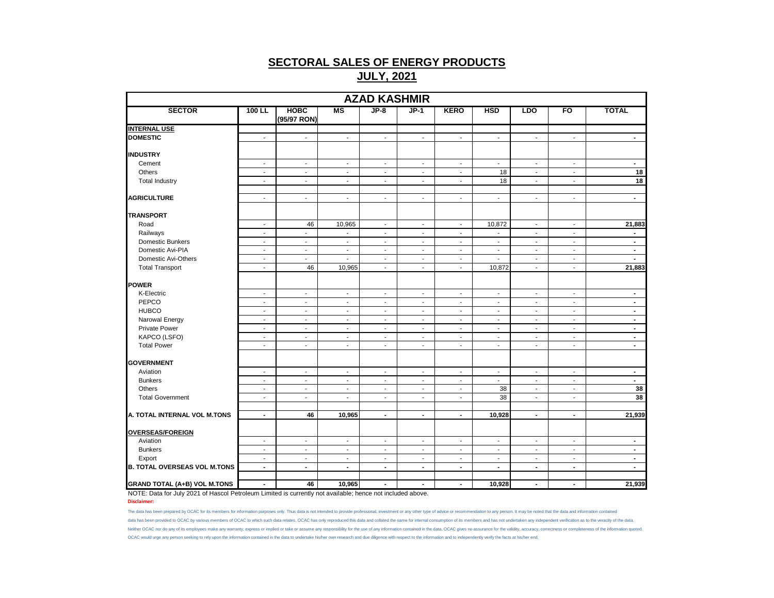|                                     |                          |                            |                                  | <b>AZAD KASHMIR</b>      |                          |                          |                          |                          |                          |                |
|-------------------------------------|--------------------------|----------------------------|----------------------------------|--------------------------|--------------------------|--------------------------|--------------------------|--------------------------|--------------------------|----------------|
| <b>SECTOR</b>                       | 100 LL                   | <b>HOBC</b><br>(95/97 RON) | <b>MS</b>                        | $JP-8$                   | $JP-1$                   | <b>KERO</b>              | <b>HSD</b>               | <b>LDO</b>               | $F$ O                    | <b>TOTAL</b>   |
| <b>INTERNAL USE</b>                 |                          |                            |                                  |                          |                          |                          |                          |                          |                          |                |
| <b>DOMESTIC</b>                     | $\sim$                   | $\sim$                     | $\blacksquare$                   | $\blacksquare$           | $\sim$                   | $\blacksquare$           | $\overline{\phantom{a}}$ | $\sim$                   | $\blacksquare$           | $\blacksquare$ |
| <b>INDUSTRY</b>                     |                          |                            |                                  |                          |                          |                          |                          |                          |                          |                |
| Cement                              | $\blacksquare$           | $\blacksquare$             | $\blacksquare$                   | $\sim$                   | $\blacksquare$           | $\blacksquare$           | $\mathbf{r}$             | $\blacksquare$           | $\blacksquare$           | $\sim$         |
| Others                              | $\sim$                   | $\sim$                     | $\sim$                           | $\sim$                   | $\sim$                   | $\sim$                   | 18                       | $\sim$                   | $\blacksquare$           | 18             |
| <b>Total Industry</b>               | $\blacksquare$           | $\sim$                     | $\sim$                           | $\sim$                   | $\blacksquare$           | $\sim$                   | 18                       | $\sim$                   | $\sim$                   | 18             |
| <b>AGRICULTURE</b>                  | $\overline{\phantom{a}}$ | $\overline{\phantom{a}}$   | $\sim$                           | $\sim$                   | $\overline{\phantom{a}}$ | $\sim$                   | $\blacksquare$           | $\sim$                   | $\sim$                   | $\blacksquare$ |
|                                     |                          |                            |                                  |                          |                          |                          |                          |                          |                          |                |
| <b>TRANSPORT</b>                    |                          |                            |                                  |                          |                          |                          |                          |                          |                          |                |
| Road                                | $\overline{\phantom{a}}$ | 46                         | 10,965                           | $\blacksquare$           | $\blacksquare$           | $\blacksquare$           | 10,872                   | $\blacksquare$           | $\overline{\phantom{a}}$ | 21,883         |
| Railways                            | $\overline{\phantom{a}}$ | $\blacksquare$             | $\blacksquare$                   | $\blacksquare$           | $\sim$                   | $\blacksquare$           | $\overline{\phantom{a}}$ | $\sim$                   | $\blacksquare$           | $\blacksquare$ |
| Domestic Bunkers                    | $\sim$                   | $\sim$                     | $\sim$                           | $\sim$                   | $\sim$                   | $\blacksquare$           | $\blacksquare$           | $\sim$                   | $\blacksquare$           | $\sim$         |
| Domestic Avi-PIA                    | $\overline{\phantom{a}}$ | $\blacksquare$             | $\blacksquare$                   | $\sim$                   | $\blacksquare$           | $\overline{\phantom{a}}$ | $\blacksquare$           | $\sim$                   | $\sim$                   | $\blacksquare$ |
| Domestic Avi-Others                 | $\blacksquare$           | $\blacksquare$             | $\overline{a}$                   | $\blacksquare$           | $\blacksquare$           | $\blacksquare$           | $\overline{a}$           | $\blacksquare$           | $\overline{\phantom{a}}$ | $\sim$         |
| <b>Total Transport</b>              | $\overline{\phantom{a}}$ | 46                         | 10,965                           | $\sim$                   | $\sim$                   | $\sim$                   | 10,872                   | $\sim$                   | $\sim$                   | 21,883         |
| <b>POWER</b>                        |                          |                            |                                  |                          |                          |                          |                          |                          |                          |                |
| K-Electric                          | $\overline{\phantom{a}}$ | $\overline{\phantom{a}}$   | $\overline{\phantom{a}}$         | $\blacksquare$           | $\overline{\phantom{a}}$ | $\overline{\phantom{a}}$ | $\overline{\phantom{a}}$ | $\overline{\phantom{a}}$ | $\overline{\phantom{a}}$ | $\blacksquare$ |
| PEPCO                               | $\sim$                   | $\sim$                     | $\overline{\phantom{a}}$         | $\overline{\phantom{a}}$ | $\sim$                   | $\sim$                   | $\sim$                   | $\sim$                   | $\overline{\phantom{a}}$ | $\blacksquare$ |
| <b>HUBCO</b>                        | $\blacksquare$           | $\sim$                     | $\sim$                           | $\mathbf{r}$             | $\blacksquare$           | $\sim$                   | $\blacksquare$           | $\sim$                   | $\blacksquare$           | $\blacksquare$ |
| Narowal Energy                      | $\blacksquare$           | $\blacksquare$             | $\sim$                           | $\sim$                   | $\blacksquare$           | $\overline{\phantom{a}}$ | $\blacksquare$           | $\overline{\phantom{a}}$ | $\blacksquare$           | $\blacksquare$ |
| <b>Private Power</b>                | $\blacksquare$           | $\overline{\phantom{a}}$   | $\blacksquare$                   | $\blacksquare$           | $\overline{\phantom{a}}$ | $\blacksquare$           | $\blacksquare$           | $\blacksquare$           | $\blacksquare$           | $\blacksquare$ |
| KAPCO (LSFO)                        | $\overline{\phantom{a}}$ | $\sim$                     | $\overline{\phantom{a}}$         | $\sim$                   | $\overline{\phantom{a}}$ | $\overline{\phantom{a}}$ | $\overline{\phantom{a}}$ | $\overline{\phantom{a}}$ | $\overline{\phantom{a}}$ | $\blacksquare$ |
| <b>Total Power</b>                  | $\mathbf{r}$             | $\mathbf{r}$               | $\mathbf{r}$                     | $\mathbf{r}$             | $\overline{a}$           | $\mathcal{L}$            | $\overline{a}$           | $\mathcal{L}$            | $\mathbf{r}$             | $\sim$         |
|                                     |                          |                            |                                  |                          |                          |                          |                          |                          |                          |                |
| <b>GOVERNMENT</b><br>Aviation       | $\sim$                   | $\sim$                     | $\sim$                           | $\sim$                   | $\blacksquare$           | $\sim$                   | $\blacksquare$           | $\sim$                   | $\sim$                   | $\sim$         |
| <b>Bunkers</b>                      | $\blacksquare$           | $\sim$                     | $\sim$                           | $\sim$                   | $\sim$                   | $\blacksquare$           | $\overline{\phantom{a}}$ | $\sim$                   | $\blacksquare$           | $\blacksquare$ |
| Others                              | $\blacksquare$           | $\blacksquare$             |                                  | $\blacksquare$           | $\blacksquare$           |                          | 38                       |                          | $\blacksquare$           | 38             |
| <b>Total Government</b>             | $\blacksquare$           |                            | $\blacksquare$<br>$\blacksquare$ | $\blacksquare$           |                          | $\overline{\phantom{a}}$ | 38                       | $\blacksquare$           |                          | 38             |
|                                     |                          | $\sim$                     |                                  |                          | $\blacksquare$           | $\blacksquare$           |                          | $\sim$                   | $\blacksquare$           |                |
| A. TOTAL INTERNAL VOL M.TONS        | $\blacksquare$           | 46                         | 10,965                           | $\blacksquare$           | $\blacksquare$           | $\blacksquare$           | 10,928                   | $\blacksquare$           | $\blacksquare$           | 21,939         |
| <b>OVERSEAS/FOREIGN</b>             |                          |                            |                                  |                          |                          |                          |                          |                          |                          |                |
| Aviation                            | $\sim$                   | $\blacksquare$             | $\blacksquare$                   | $\sim$                   | $\blacksquare$           | $\blacksquare$           | $\blacksquare$           | $\blacksquare$           | $\blacksquare$           | $\blacksquare$ |
| <b>Bunkers</b>                      | $\overline{\phantom{a}}$ | $\overline{\phantom{a}}$   | $\overline{\phantom{a}}$         | $\blacksquare$           | $\overline{\phantom{a}}$ | $\overline{\phantom{a}}$ | $\overline{\phantom{a}}$ | $\overline{\phantom{a}}$ | $\overline{\phantom{a}}$ | $\blacksquare$ |
| Export                              | $\overline{\phantom{a}}$ | $\overline{\phantom{a}}$   | $\overline{\phantom{a}}$         | $\blacksquare$           | $\overline{\phantom{a}}$ | $\overline{\phantom{a}}$ | $\blacksquare$           | $\overline{\phantom{a}}$ | $\overline{\phantom{a}}$ | $\blacksquare$ |
| <b>B. TOTAL OVERSEAS VOL M.TONS</b> | $\blacksquare$           | $\blacksquare$             | $\blacksquare$                   | $\blacksquare$           | $\blacksquare$           | $\blacksquare$           | $\blacksquare$           | $\blacksquare$           | $\blacksquare$           | $\blacksquare$ |
|                                     |                          |                            |                                  |                          |                          |                          |                          |                          |                          |                |
| <b>GRAND TOTAL (A+B) VOL M.TONS</b> | $\blacksquare$           | 46                         | 10,965                           | $\blacksquare$           | $\blacksquare$           | $\blacksquare$           | 10,928                   | $\blacksquare$           | $\blacksquare$           | 21,939         |

NOTE: Data for July 2021 of Hascol Petroleum Limited is currently not available; hence not included above. **Disclaimer:**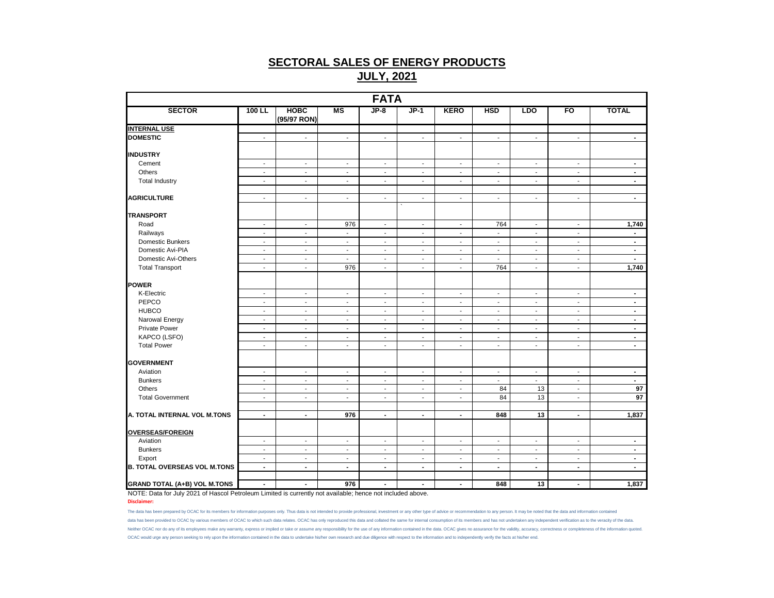|                                     |                          |                            |                          | <b>FATA</b>                 |                          |                          |                          |                          |                          |                |
|-------------------------------------|--------------------------|----------------------------|--------------------------|-----------------------------|--------------------------|--------------------------|--------------------------|--------------------------|--------------------------|----------------|
| <b>SECTOR</b>                       | 100 LL                   | <b>HOBC</b><br>(95/97 RON) | <b>MS</b>                | $JP-8$                      | $JP-1$                   | <b>KERO</b>              | <b>HSD</b>               | <b>LDO</b>               | FO                       | <b>TOTAL</b>   |
| <b>INTERNAL USE</b>                 |                          |                            |                          |                             |                          |                          |                          |                          |                          |                |
| <b>DOMESTIC</b>                     | $\blacksquare$           | $\blacksquare$             | $\overline{\phantom{a}}$ | $\overline{\phantom{a}}$    | $\overline{\phantom{a}}$ | $\overline{\phantom{a}}$ | $\overline{a}$           | $\blacksquare$           | $\overline{\phantom{a}}$ | $\blacksquare$ |
| <b>INDUSTRY</b>                     |                          |                            |                          |                             |                          |                          |                          |                          |                          |                |
| Cement                              | $\blacksquare$           | $\blacksquare$             | $\overline{\phantom{a}}$ | $\blacksquare$              | $\overline{\phantom{a}}$ | $\blacksquare$           | $\blacksquare$           | $\blacksquare$           | $\blacksquare$           | $\blacksquare$ |
| Others                              | $\blacksquare$           | $\sim$                     | $\overline{\phantom{a}}$ | $\sim$                      | $\overline{\phantom{a}}$ | $\blacksquare$           | $\overline{\phantom{a}}$ | $\overline{\phantom{a}}$ | $\overline{\phantom{a}}$ | $\blacksquare$ |
| <b>Total Industry</b>               | $\sim$                   | $\sim$                     | $\sim$                   | $\sim$                      | $\sim$                   | $\blacksquare$           | $\blacksquare$           | $\sim$                   | $\sim$                   | $\sim$         |
| <b>AGRICULTURE</b>                  | $\blacksquare$           | $\blacksquare$             | $\overline{\phantom{a}}$ | $\overline{\phantom{a}}$    | $\overline{\phantom{a}}$ | $\overline{\phantom{a}}$ | $\overline{a}$           | $\overline{\phantom{a}}$ | $\blacksquare$           | $\blacksquare$ |
| <b>TRANSPORT</b>                    |                          |                            |                          |                             |                          |                          |                          |                          |                          |                |
| Road                                | $\overline{\phantom{a}}$ | $\blacksquare$             | 976                      | $\blacksquare$              | $\overline{\phantom{a}}$ | $\overline{\phantom{a}}$ | 764                      | $\overline{\phantom{a}}$ | $\overline{\phantom{a}}$ | 1,740          |
| Railways                            | $\overline{\phantom{a}}$ | $\overline{\phantom{a}}$   | $\overline{\phantom{a}}$ | $\overline{\phantom{a}}$    | $\overline{\phantom{a}}$ | $\overline{\phantom{a}}$ | $\overline{\phantom{a}}$ | $\overline{\phantom{a}}$ | $\overline{\phantom{a}}$ | $\blacksquare$ |
| Domestic Bunkers                    | $\overline{\phantom{a}}$ | $\overline{\phantom{a}}$   | $\overline{\phantom{a}}$ | $\overline{\phantom{a}}$    | $\overline{\phantom{a}}$ | $\overline{\phantom{a}}$ | $\overline{\phantom{a}}$ | $\sim$                   | $\overline{\phantom{a}}$ | $\sim$         |
| Domestic Avi-PIA                    | $\blacksquare$           | $\sim$                     | $\overline{\phantom{a}}$ | $\overline{\phantom{a}}$    | $\overline{\phantom{a}}$ | $\overline{\phantom{a}}$ | $\mathbf{r}$             | $\sim$                   | $\blacksquare$           | $\sim$         |
| Domestic Avi-Others                 | $\overline{\phantom{a}}$ | $\sim$                     | $\overline{\phantom{a}}$ | $\sim$                      | $\blacksquare$           | $\blacksquare$           | $\overline{\phantom{a}}$ | $\sim$                   | $\sim$                   | $\sim$         |
| <b>Total Transport</b>              | $\overline{\phantom{a}}$ | $\overline{\phantom{a}}$   | 976                      | $\overline{\phantom{a}}$    | $\overline{\phantom{a}}$ | $\overline{\phantom{a}}$ | 764                      | $\overline{\phantom{a}}$ | $\overline{\phantom{a}}$ | 1,740          |
| <b>POWER</b>                        |                          |                            |                          |                             |                          |                          |                          |                          |                          |                |
| K-Electric                          | $\blacksquare$           | $\blacksquare$             | $\overline{\phantom{a}}$ | $\blacksquare$              | $\overline{\phantom{a}}$ | $\overline{\phantom{a}}$ | $\blacksquare$           | $\blacksquare$           | $\overline{\phantom{a}}$ | $\blacksquare$ |
| PEPCO                               | $\blacksquare$           | $\blacksquare$             | $\overline{\phantom{a}}$ | $\overline{\phantom{a}}$    | $\overline{\phantom{a}}$ | $\overline{\phantom{a}}$ | $\overline{\phantom{a}}$ | $\blacksquare$           | $\overline{\phantom{a}}$ | $\blacksquare$ |
| <b>HUBCO</b>                        | $\blacksquare$           | $\sim$                     | $\blacksquare$           | $\sim$                      | $\blacksquare$           | $\blacksquare$           | $\blacksquare$           | $\blacksquare$           | $\sim$                   | $\blacksquare$ |
| Narowal Energy                      | $\sim$                   | $\blacksquare$             | $\blacksquare$           | $\blacksquare$              | $\blacksquare$           | $\blacksquare$           | $\sim$                   | $\blacksquare$           | $\blacksquare$           | $\sim$         |
| <b>Private Power</b>                | $\overline{\phantom{a}}$ | $\sim$                     | $\overline{\phantom{a}}$ | $\overline{\phantom{a}}$    | $\overline{\phantom{a}}$ | $\overline{\phantom{a}}$ | $\overline{\phantom{a}}$ | $\overline{\phantom{a}}$ | $\overline{\phantom{a}}$ | $\blacksquare$ |
| KAPCO (LSFO)                        | $\overline{\phantom{a}}$ | $\sim$                     | $\overline{\phantom{a}}$ | $\overline{\phantom{a}}$    | $\overline{\phantom{a}}$ | $\overline{\phantom{a}}$ | $\overline{\phantom{a}}$ | $\sim$                   | $\overline{\phantom{a}}$ | $\sim$         |
| <b>Total Power</b>                  | $\sim$                   | $\sim$                     | $\sim$                   | $\sim$                      | $\sim$                   | $\blacksquare$           | $\blacksquare$           | $\sim$                   | $\sim$                   | $\sim$         |
| <b>GOVERNMENT</b>                   |                          |                            |                          |                             |                          |                          |                          |                          |                          |                |
| Aviation                            | $\sim$                   | $\sim$                     | $\overline{\phantom{a}}$ | $\blacksquare$              | $\blacksquare$           | $\overline{\phantom{a}}$ | $\blacksquare$           | $\blacksquare$           | $\blacksquare$           | $\sim$         |
| <b>Bunkers</b>                      | $\overline{\phantom{a}}$ | $\blacksquare$             | $\blacksquare$           | $\overline{\phantom{a}}$    | $\blacksquare$           | $\overline{\phantom{a}}$ | $\overline{\phantom{a}}$ | $\sim$                   | $\blacksquare$           | $\blacksquare$ |
| Others                              | $\overline{\phantom{a}}$ | $\blacksquare$             | $\blacksquare$           | $\overline{\phantom{a}}$    | $\overline{\phantom{a}}$ | $\overline{\phantom{a}}$ | 84                       | 13                       | $\blacksquare$           | 97             |
| <b>Total Government</b>             | $\overline{\phantom{a}}$ | $\blacksquare$             | $\overline{\phantom{a}}$ | $\overline{\phantom{a}}$    | $\overline{\phantom{a}}$ | $\overline{\phantom{a}}$ | 84                       | 13                       | $\overline{\phantom{a}}$ | 97             |
| A. TOTAL INTERNAL VOL M.TONS        | $\mathbf{r}$             | $\mathbf{r}$               | 976                      | $\mathbf{r}$                | $\blacksquare$           | $\blacksquare$           | 848                      | 13                       | $\mathbf{r}$             | 1,837          |
|                                     |                          |                            |                          |                             |                          |                          |                          |                          |                          |                |
| <b>OVERSEAS/FOREIGN</b>             |                          |                            |                          |                             |                          |                          |                          |                          |                          |                |
| Aviation                            | $\sim$                   | $\sim$                     | $\overline{\phantom{a}}$ | $\blacksquare$              | $\blacksquare$           | $\blacksquare$           | $\blacksquare$           | $\blacksquare$           | $\sim$                   | $\sim$         |
| <b>Bunkers</b>                      | $\blacksquare$           | $\sim$                     | $\blacksquare$           | $\blacksquare$              | $\blacksquare$           | $\overline{\phantom{a}}$ | $\blacksquare$           | $\overline{\phantom{a}}$ | $\sim$                   | $\sim$         |
| Export                              | $\blacksquare$           | $\blacksquare$             | $\overline{\phantom{a}}$ | $\mathcal{L}_{\mathcal{A}}$ | $\overline{\phantom{a}}$ | $\overline{\phantom{a}}$ | $\overline{\phantom{a}}$ | $\blacksquare$           | $\overline{\phantom{a}}$ | $\blacksquare$ |
| <b>B. TOTAL OVERSEAS VOL M.TONS</b> | $\sim$                   | $\sim$                     | $\blacksquare$           | $\blacksquare$              | $\blacksquare$           | $\blacksquare$           | $\blacksquare$           | $\sim$                   | $\blacksquare$           | $\blacksquare$ |
| <b>GRAND TOTAL (A+B) VOL M.TONS</b> | $\blacksquare$           | $\blacksquare$             | 976                      | $\blacksquare$              | $\blacksquare$           | $\blacksquare$           | 848                      | 13                       | $\blacksquare$           | 1,837          |

NOTE: Data for July 2021 of Hascol Petroleum Limited is currently not available; hence not included above. **Disclaimer:**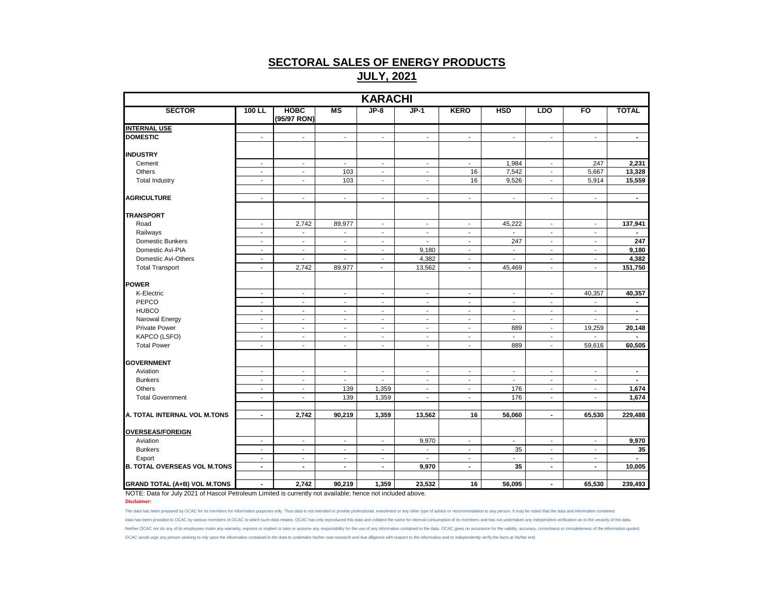|                                     |                          |                            |                          | <b>KARACHI</b>           |                          |                          |                          |                             |                          |                |
|-------------------------------------|--------------------------|----------------------------|--------------------------|--------------------------|--------------------------|--------------------------|--------------------------|-----------------------------|--------------------------|----------------|
| <b>SECTOR</b>                       | $100$ LL                 | <b>HOBC</b><br>(95/97 RON) | $\overline{\text{MS}}$   | $JP-8$                   | $JP-1$                   | <b>KERO</b>              | <b>HSD</b>               | <b>LDO</b>                  | F <sub>O</sub>           | <b>TOTAL</b>   |
| <b>INTERNAL USE</b>                 |                          |                            |                          |                          |                          |                          |                          |                             |                          |                |
| <b>DOMESTIC</b>                     | $\blacksquare$           | $\overline{\phantom{a}}$   | $\overline{\phantom{a}}$ | $\overline{\phantom{a}}$ | $\blacksquare$           | $\blacksquare$           | $\sim$                   | $\overline{a}$              | $\overline{a}$           | $\blacksquare$ |
| <b>INDUSTRY</b>                     |                          |                            |                          |                          |                          |                          |                          |                             |                          |                |
| Cement                              | $\overline{\phantom{a}}$ | $\sim$                     | $\blacksquare$           | $\overline{\phantom{a}}$ | $\overline{\phantom{a}}$ | $\blacksquare$           | 1,984                    | $\sim$                      | 247                      | 2,231          |
| Others                              | $\blacksquare$           | $\blacksquare$             | 103                      | $\blacksquare$           | $\blacksquare$           | 16                       | 7,542                    | $\overline{\phantom{a}}$    | 5,667                    | 13,328         |
| <b>Total Industry</b>               | $\sim$                   | $\overline{\phantom{a}}$   | 103                      | $\blacksquare$           | $\overline{\phantom{a}}$ | 16                       | 9,526                    | $\sim$                      | 5,914                    | 15,559         |
| <b>AGRICULTURE</b>                  | $\blacksquare$           | $\blacksquare$             | $\blacksquare$           | $\blacksquare$           | $\overline{\phantom{a}}$ | $\blacksquare$           | $\sim$                   | $\sim$                      | $\mathbf{r}$             | $\blacksquare$ |
| <b>TRANSPORT</b>                    |                          |                            |                          |                          |                          |                          |                          |                             |                          |                |
| Road                                | $\blacksquare$           | 2,742                      | 89,977                   | $\mathbf{r}$             | $\mathbf{r}$             | $\blacksquare$           | 45,222                   | $\sim$                      | $\sim$                   | 137,941        |
| Railways                            | $\sim$                   | $\sim$                     | $\blacksquare$           | $\blacksquare$           | $\blacksquare$           | $\blacksquare$           |                          | $\sim$                      | $\sim$                   |                |
| <b>Domestic Bunkers</b>             | $\sim$                   | $\overline{\phantom{a}}$   | $\blacksquare$           | $\blacksquare$           | $\blacksquare$           | $\sim$                   | 247                      | $\sim$                      | $\sim$                   | 247            |
| Domestic Avi-PIA                    | $\sim$                   | $\sim$                     | $\blacksquare$           | $\blacksquare$           | 9,180                    | $\sim$                   | $\blacksquare$           | $\sim$                      | $\sim$                   | 9,180          |
| Domestic Avi-Others                 | $\overline{\phantom{a}}$ | $\overline{a}$             | $\overline{a}$           | $\blacksquare$           | 4,382                    | $\overline{\phantom{a}}$ | $\overline{a}$           | $\sim$                      | $\sim$                   | 4,382          |
| <b>Total Transport</b>              | $\blacksquare$           | 2,742                      | 89,977                   | $\blacksquare$           | 13,562                   | $\overline{\phantom{a}}$ | 45,469                   | $\overline{a}$              | $\overline{\phantom{a}}$ | 151,750        |
| <b>POWER</b>                        |                          |                            |                          |                          |                          |                          |                          |                             |                          |                |
| K-Electric                          | $\overline{\phantom{a}}$ | $\overline{\phantom{a}}$   | $\blacksquare$           | $\blacksquare$           | $\sim$                   | $\sim$                   | $\overline{\phantom{a}}$ | $\overline{\phantom{a}}$    | 40,357                   | 40,357         |
| PEPCO                               | $\blacksquare$           | $\blacksquare$             | $\overline{\phantom{a}}$ | $\overline{\phantom{a}}$ | $\overline{\phantom{a}}$ | $\overline{\phantom{a}}$ | $\overline{\phantom{a}}$ | $\blacksquare$              | $\overline{\phantom{a}}$ | $\blacksquare$ |
| <b>HUBCO</b>                        | $\overline{\phantom{a}}$ | $\overline{\phantom{a}}$   | $\overline{\phantom{a}}$ | $\overline{\phantom{a}}$ | $\overline{\phantom{a}}$ | $\blacksquare$           | $\overline{\phantom{a}}$ | $\overline{\phantom{a}}$    | $\overline{\phantom{a}}$ | $\blacksquare$ |
| Narowal Energy                      | $\blacksquare$           | $\mathbf{r}$               | $\sim$                   | $\blacksquare$           | $\mathbf{r}$             | $\blacksquare$           | L.                       | $\mathcal{L}$               | $\mathbf{r}$             | $\sim$         |
| <b>Private Power</b>                | $\overline{\phantom{a}}$ | $\blacksquare$             | $\blacksquare$           | $\overline{\phantom{a}}$ | $\overline{\phantom{a}}$ | $\blacksquare$           | 889                      | $\blacksquare$              | 19,259                   | 20,148         |
| KAPCO (LSFO)                        | $\blacksquare$           | $\blacksquare$             | $\overline{\phantom{a}}$ | $\blacksquare$           | $\blacksquare$           | $\blacksquare$           | $\overline{a}$           | ÷,                          | $\overline{a}$           |                |
| <b>Total Power</b>                  | $\sim$                   | $\sim$                     | $\overline{\phantom{a}}$ | $\sim$                   | $\overline{\phantom{a}}$ | $\blacksquare$           | 889                      | $\sim$                      | 59,616                   | 60,505         |
| <b>GOVERNMENT</b>                   |                          |                            |                          |                          |                          |                          |                          |                             |                          |                |
| Aviation                            | $\sim$                   | $\sim$                     | $\blacksquare$           | $\blacksquare$           | $\overline{\phantom{a}}$ | $\blacksquare$           | $\overline{\phantom{a}}$ | $\sim$                      | $\blacksquare$           | $\blacksquare$ |
| <b>Bunkers</b>                      | $\overline{\phantom{a}}$ | $\overline{\phantom{a}}$   | $\overline{\phantom{a}}$ | $\blacksquare$           | $\overline{\phantom{a}}$ | $\overline{\phantom{a}}$ | $\overline{\phantom{a}}$ | $\sim$                      | $\sim$                   | $\sim$         |
| Others                              | $\blacksquare$           | $\blacksquare$             | 139                      | 1,359                    | $\sim$                   | $\blacksquare$           | 176                      | $\mathcal{L}_{\mathcal{A}}$ | $\blacksquare$           | 1,674          |
| <b>Total Government</b>             | $\blacksquare$           | $\blacksquare$             | 139                      | 1,359                    | $\overline{\phantom{a}}$ | $\overline{\phantom{a}}$ | 176                      | $\blacksquare$              | $\overline{a}$           | 1,674          |
|                                     |                          |                            |                          |                          |                          |                          |                          |                             |                          |                |
| A. TOTAL INTERNAL VOL M.TONS        | $\blacksquare$           | 2,742                      | 90,219                   | 1,359                    | 13,562                   | 16                       | 56,060                   | $\blacksquare$              | 65,530                   | 229,488        |
| <b>OVERSEAS/FOREIGN</b>             |                          |                            |                          |                          |                          |                          |                          |                             |                          |                |
| Aviation                            | $\sim$                   | $\blacksquare$             | $\blacksquare$           | $\blacksquare$           | 9,970                    | $\blacksquare$           | $\overline{\phantom{a}}$ | $\sim$                      | $\blacksquare$           | 9,970          |
| <b>Bunkers</b>                      | $\overline{\phantom{a}}$ | $\overline{\phantom{a}}$   | $\overline{\phantom{a}}$ | $\overline{\phantom{a}}$ | $\blacksquare$           | $\overline{\phantom{a}}$ | 35                       | $\blacksquare$              | $\blacksquare$           | 35             |
| Export                              | $\blacksquare$           | $\overline{a}$             | $\overline{\phantom{a}}$ | $\overline{\phantom{a}}$ | $\blacksquare$           | $\overline{\phantom{a}}$ |                          | $\overline{\phantom{a}}$    | $\overline{\phantom{a}}$ |                |
| <b>B. TOTAL OVERSEAS VOL M.TONS</b> | $\blacksquare$           | $\blacksquare$             | $\blacksquare$           | $\blacksquare$           | 9,970                    | $\blacksquare$           | 35                       | $\blacksquare$              | $\blacksquare$           | 10,005         |
| <b>GRAND TOTAL (A+B) VOL M.TONS</b> | $\blacksquare$           | 2,742                      | 90,219                   | 1,359                    | 23,532                   | 16                       | 56,095                   | $\blacksquare$              | 65,530                   | 239,493        |

NOTE: Data for July 2021 of Hascol Petroleum Limited is currently not available; hence not included above. **Disclaimer:**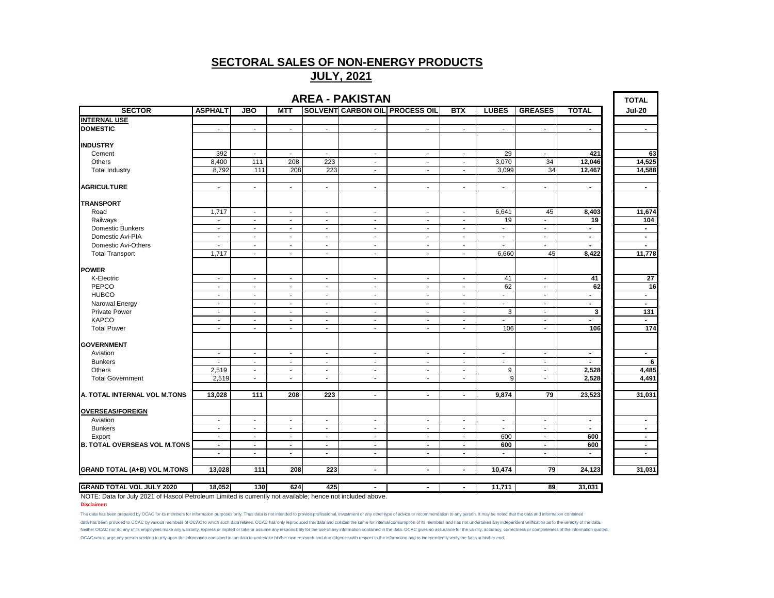### **JULY, 2021**

|                                     |                          |                          |                          |                          | <b>AREA - PAKISTAN</b> |                                       |                                |                          |                             |                |
|-------------------------------------|--------------------------|--------------------------|--------------------------|--------------------------|------------------------|---------------------------------------|--------------------------------|--------------------------|-----------------------------|----------------|
| <b>SECTOR</b>                       | <b>ASPHALT</b>           | <b>JBO</b>               | <b>MTT</b>               |                          |                        | <b>SOLVENT CARBON OIL PROCESS OIL</b> | <b>BTX</b>                     | <b>LUBES</b>             | <b>GREASES</b>              | <b>TOTAL</b>   |
| <b>INTERNAL USE</b>                 |                          |                          |                          |                          |                        |                                       |                                |                          |                             |                |
| DOMESTIC                            | $\sim$                   | $\sim$                   | $\sim$                   | $\mathbf{r}$             | $\sim$                 | $\sim$                                | $\sim$                         | $\mathbf{r}$             | $\sim$                      | $\blacksquare$ |
| <b>INDUSTRY</b>                     |                          |                          |                          |                          |                        |                                       |                                |                          |                             |                |
| Cement                              | 392                      | $\overline{\phantom{a}}$ | $\blacksquare$           | $\overline{\phantom{a}}$ | $\sim$                 | $\sim$                                | $\overline{\phantom{a}}$       | 29                       | $\sim$                      | 421            |
| Others                              | 8,400                    | 111                      | 208                      | 223                      | $\sim$                 | $\sim$                                | $\overline{\phantom{a}}$       | 3,070                    | 34                          | 12,046         |
| <b>Total Industry</b>               | 8,792                    | 111                      | 208                      | 223                      | $\sim$                 | $\blacksquare$                        | $\blacksquare$                 | 3,099                    | 34                          | 12,467         |
| <b>AGRICULTURE</b>                  | $\sim$                   | $\sim$                   | $\mathcal{L}$            | $\mathbf{r}$             | $\sim$                 | $\mathbf{r}$                          | ÷.                             | $\mathbf{r}$             | $\mathcal{L}^{\mathcal{A}}$ | $\blacksquare$ |
|                                     |                          |                          |                          |                          |                        |                                       |                                |                          |                             |                |
| <b>TRANSPORT</b>                    |                          |                          |                          |                          |                        |                                       |                                |                          |                             |                |
| Road                                | 1,717                    | $\blacksquare$           | $\blacksquare$           | $\overline{\phantom{a}}$ | $\blacksquare$         | $\overline{\phantom{a}}$              | $\blacksquare$                 | 6,641                    | 45                          | 8,403          |
| Railways                            | $\overline{\phantom{a}}$ | $\overline{\phantom{a}}$ | $\overline{\phantom{a}}$ | $\overline{\phantom{a}}$ | $\sim$                 | $\overline{\phantom{a}}$              | $\overline{\phantom{a}}$       | 19                       | $\sim$                      | 19             |
| <b>Domestic Bunkers</b>             | $\sim$                   | $\blacksquare$           | $\sim$                   | $\sim$                   | $\sim$                 | $\blacksquare$                        | $\blacksquare$                 | $\sim$                   | $\sim$                      | $\sim$         |
| Domestic Avi-PIA                    | $\sim$                   | $\sim$                   | $\sim$                   | $\overline{\phantom{a}}$ | $\sim$                 | $\sim$                                | $\overline{\phantom{a}}$       | $\sim$                   | $\sim$                      | $\blacksquare$ |
| Domestic Avi-Others                 | $\sim$                   | $\blacksquare$           | $\blacksquare$           | $\blacksquare$           | $\sim$                 | $\blacksquare$                        | $\blacksquare$                 | $\sim$                   | $\sim$                      | $\blacksquare$ |
| <b>Total Transport</b>              | 1,717                    | $\sim$                   | $\sim$                   | $\sim$                   | $\sim$                 | $\sim$                                | ÷.                             | 6,660                    | 45                          | 8,422          |
| <b>IPOWER</b>                       |                          |                          |                          |                          |                        |                                       |                                |                          |                             |                |
| K-Electric                          | $\sim$                   | $\sim$                   | $\overline{\phantom{a}}$ | $\overline{\phantom{a}}$ | $\sim$                 | $\sim$                                | $\blacksquare$                 | 41                       | $\sim$                      | 41             |
| PEPCO                               | $\sim$                   | $\sim$                   | $\blacksquare$           | $\blacksquare$           | $\sim$                 | $\blacksquare$                        | $\blacksquare$                 | 62                       | $\sim$                      | 62             |
| <b>HUBCO</b>                        | $\sim$                   | $\sim$                   | $\sim$                   | $\sim$                   | $\sim$                 | $\blacksquare$                        | $\blacksquare$                 | $\overline{\phantom{a}}$ | $\sim$                      | $\blacksquare$ |
| Narowal Energy                      | $\sim$                   | $\blacksquare$           | $\sim$                   | $\blacksquare$           | $\sim$                 | $\blacksquare$                        | $\blacksquare$                 | $\sim$                   | $\sim$                      | $\sim$         |
| <b>Private Power</b>                | $\sim$                   | $\overline{\phantom{a}}$ | $\overline{\phantom{a}}$ | $\sim$                   | $\sim$                 | $\sim$                                | $\blacksquare$                 | 3                        | $\sim$                      | 3              |
| <b>KAPCO</b>                        | $\mathbf{r}$             | $\sim$                   | $\sim$                   | $\blacksquare$           | $\omega$               | $\blacksquare$                        | $\sim$                         | $\mathbf{r}$             | $\sim$                      | $\blacksquare$ |
| <b>Total Power</b>                  | $\overline{\phantom{a}}$ | $\overline{\phantom{a}}$ | $\blacksquare$           | $\overline{\phantom{a}}$ | $\blacksquare$         | $\overline{\phantom{a}}$              | $\overline{\phantom{a}}$       | 106                      | $\blacksquare$              | 106            |
| <b>GOVERNMENT</b>                   |                          |                          |                          |                          |                        |                                       |                                |                          |                             |                |
| Aviation                            | $\sim$                   | $\sim$                   | $\sim$                   | $\overline{\phantom{a}}$ | $\sim$                 | $\blacksquare$                        | $\blacksquare$                 | $\sim$                   | $\sim$                      | $\sim$         |
| <b>Bunkers</b>                      | $\sim$                   | $\sim$                   | $\sim$                   | $\overline{\phantom{a}}$ | $\sim$                 | $\blacksquare$                        | $\blacksquare$                 | $\blacksquare$           | $\sim$                      | $\blacksquare$ |
| Others                              | 2,519                    | $\sim$                   | $\blacksquare$           | $\sim$                   | $\sim$                 | $\sim$                                | $\sim$                         | 9                        | $\sim$                      | 2,528          |
| <b>Total Government</b>             | 2,519                    | $\blacksquare$           | $\mathcal{L}$            | $\mathbf{r}$             | $\sim$                 | $\mathbf{r}$                          | $\sim$                         | 9                        | $\sim$                      | 2,528          |
|                                     |                          |                          |                          |                          |                        |                                       |                                |                          |                             |                |
| A. TOTAL INTERNAL VOL M.TONS        | 13,028                   | 111                      | 208                      | 223                      | $\blacksquare$         | $\blacksquare$                        | $\blacksquare$                 | 9,874                    | 79                          | 23,523         |
| <b>OVERSEAS/FOREIGN</b>             |                          |                          |                          |                          |                        |                                       |                                |                          |                             |                |
| Aviation                            | $\sim$                   | $\blacksquare$           | $\sim$                   | $\blacksquare$           | $\sim$                 | $\blacksquare$                        | $\blacksquare$                 | $\sim$                   | $\sim$                      | $\sim$         |
|                                     |                          |                          |                          |                          |                        |                                       |                                |                          |                             | $\blacksquare$ |
| <b>Bunkers</b>                      | $\sim$                   | $\overline{\phantom{a}}$ | $\overline{\phantom{a}}$ | $\overline{\phantom{a}}$ | $\sim$<br>$\sim$       | $\overline{\phantom{a}}$              | $\overline{\phantom{a}}$<br>÷. | $\blacksquare$           | $\blacksquare$              |                |
| Export                              | $\sim$                   | $\sim$                   | $\sim$                   | $\overline{\phantom{a}}$ |                        | $\sim$                                |                                | 600                      | $\sim$                      | 600            |
| <b>B. TOTAL OVERSEAS VOL M.TONS</b> | $\blacksquare$           | $\blacksquare$           | $\blacksquare$           | $\blacksquare$           | $\blacksquare$         | $\blacksquare$                        | $\blacksquare$                 | 600                      | $\blacksquare$              | 600            |
|                                     | $\overline{\phantom{a}}$ | $\blacksquare$           | $\blacksquare$           | $\blacksquare$           | $\blacksquare$         | $\blacksquare$                        | $\blacksquare$                 | $\blacksquare$           | $\blacksquare$              | $\blacksquare$ |
| <b>GRAND TOTAL (A+B) VOL M.TONS</b> | 13,028                   | 111                      | 208                      | 223                      | $\blacksquare$         | $\blacksquare$                        | $\blacksquare$                 | 10,474                   | 79                          | 24,123         |
|                                     |                          |                          |                          |                          |                        |                                       |                                |                          |                             |                |
| <b>GRAND TOTAL VOL JULY 2020</b>    | 18,052                   | 130                      | 624                      | 425                      | $\blacksquare$         |                                       |                                | 11,711                   | 89                          | 31,031         |

NOTE: Data for July 2021 of Hascol Petroleum Limited is currently not available; hence not included above.

**Disclaimer:**

The data has been prepared by OCAC for its members for information purposes only. Thus data is not intended to provide provide professional, investment or any other type of advice or recommendation to any person. It may be

Neither OCAC nor do any of its employees make any warranty, express or implied or take or assume any responsibility for the use of any information contained in the data. OCAC gives no assurance for the validity, accuracy, OCAC would urge any person seeking to rely upon the information contained in the data to undertake his/her own research and due diligence with respect to the information and to independently verify the facts at his/her end. data has been provided to OCAC by various members of OCAC to which such data relates. OCAC has only reproduced this data and collated the same for internal consumption of its members and has not undertaken any independent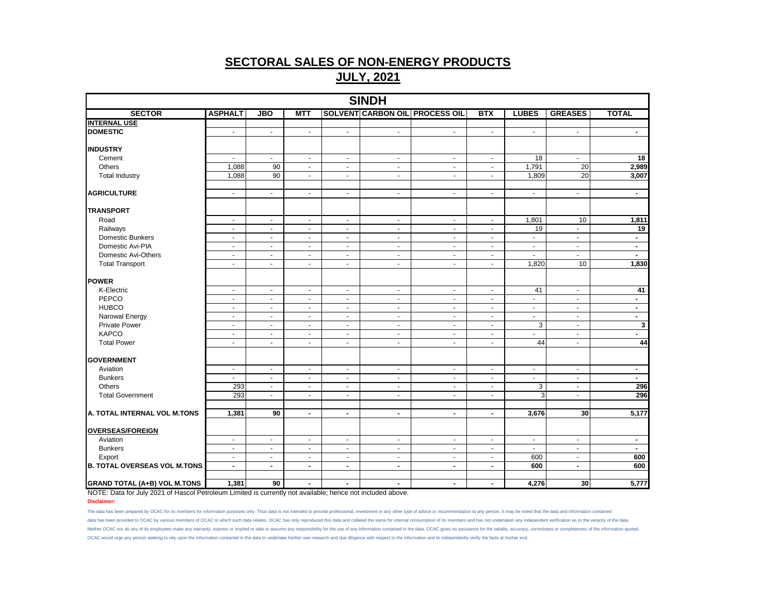|                                     |                          |                          |                          |                | <b>SINDH</b>             |                                       |                          |                          |                          |                          |
|-------------------------------------|--------------------------|--------------------------|--------------------------|----------------|--------------------------|---------------------------------------|--------------------------|--------------------------|--------------------------|--------------------------|
| <b>SECTOR</b>                       | <b>ASPHALT</b>           | <b>JBO</b>               | <b>MTT</b>               |                |                          | <b>SOLVENT CARBON OIL PROCESS OIL</b> | <b>BTX</b>               | <b>LUBES</b>             | <b>GREASES</b>           | <b>TOTAL</b>             |
| <b>INTERNAL USE</b>                 |                          |                          |                          |                |                          |                                       |                          |                          |                          |                          |
| <b>DOMESTIC</b>                     | $\blacksquare$           | $\blacksquare$           | $\blacksquare$           | $\blacksquare$ | $\blacksquare$           | $\sim$                                | $\blacksquare$           | $\blacksquare$           | $\blacksquare$           | $\sim$                   |
| <b>INDUSTRY</b>                     |                          |                          |                          |                |                          |                                       |                          |                          |                          |                          |
| Cement                              | $\blacksquare$           | $\sim$                   | $\blacksquare$           | $\blacksquare$ | $\blacksquare$           | $\blacksquare$                        | $\blacksquare$           | 18                       | $\blacksquare$           | 18                       |
| <b>Others</b>                       | 1,088                    | 90                       | $\sim$                   | $\blacksquare$ | $\blacksquare$           | $\sim$                                | $\blacksquare$           | 1,791                    | 20                       | 2,989                    |
| <b>Total Industry</b>               | 1,088                    | 90                       | $\omega$                 | $\blacksquare$ | $\blacksquare$           | $\omega$                              | $\mathbf{r}$             | 1,809                    | $\overline{20}$          | 3,007                    |
|                                     |                          |                          |                          |                |                          |                                       |                          |                          |                          |                          |
| <b>AGRICULTURE</b>                  | $\blacksquare$           | $\blacksquare$           | $\blacksquare$           | $\blacksquare$ | $\blacksquare$           | $\sim$                                | $\blacksquare$           | $\blacksquare$           | $\sim$                   | $\sim$                   |
| <b>TRANSPORT</b>                    |                          |                          |                          |                |                          |                                       |                          |                          |                          |                          |
| Road                                | $\overline{\phantom{a}}$ | $\sim$                   | $\sim$                   | $\sim$         | $\sim$                   | $\sim$                                | $\sim$                   | 1,801                    | 10                       | 1,811                    |
| Railways                            | $\sim$                   | $\sim$                   | $\overline{\phantom{a}}$ | $\omega$       | $\omega$                 | $\omega$                              | $\omega$                 | 19                       | $\mathbf{r}$             | 19                       |
| <b>Domestic Bunkers</b>             | $\blacksquare$           | $\blacksquare$           | $\blacksquare$           | $\sim$         | $\blacksquare$           | $\sim$                                | $\blacksquare$           | $\overline{\phantom{a}}$ | $\sim$                   | $\blacksquare$           |
| Domestic Avi-PIA                    | $\blacksquare$           | $\overline{\phantom{a}}$ | $\sim$                   | $\blacksquare$ | $\sim$                   | $\sim$                                | $\sim$                   | $\blacksquare$           | $\sim$                   | $\sim$                   |
| Domestic Avi-Others                 | $\blacksquare$           | $\blacksquare$           | $\blacksquare$           | $\blacksquare$ | $\blacksquare$           | $\sim$                                | $\sim$                   | $\omega$                 | $\omega$                 | $\blacksquare$           |
| <b>Total Transport</b>              | $\blacksquare$           | $\blacksquare$           | $\blacksquare$           | $\blacksquare$ | $\blacksquare$           | $\blacksquare$                        | $\blacksquare$           | 1,820                    | 10                       | 1,830                    |
|                                     |                          |                          |                          |                |                          |                                       |                          |                          |                          |                          |
| <b>IPOWER</b>                       |                          |                          |                          |                |                          |                                       |                          |                          |                          |                          |
| K-Electric                          | $\blacksquare$           | $\blacksquare$           | $\blacksquare$           | $\blacksquare$ | $\blacksquare$           | $\blacksquare$                        | $\blacksquare$           | 41                       | $\blacksquare$           | 41                       |
| PEPCO                               | $\blacksquare$           | $\overline{\phantom{a}}$ | $\blacksquare$           | $\blacksquare$ | $\sim$                   | $\sim$                                | $\blacksquare$           | $\blacksquare$           | $\sim$                   | $\blacksquare$           |
| <b>HUBCO</b>                        | $\omega$                 | $\blacksquare$           | $\blacksquare$           | $\blacksquare$ | $\blacksquare$           | G.                                    | $\sim$                   | ÷.                       | $\omega$                 | $\blacksquare$           |
| Narowal Energy                      | $\sim$                   | $\blacksquare$           | $\overline{\phantom{a}}$ | $\blacksquare$ | $\sim$                   | $\blacksquare$                        | $\sim$                   | $\blacksquare$           | $\sim$                   | $\blacksquare$           |
| <b>Private Power</b>                | $\overline{\phantom{a}}$ | $\blacksquare$           | $\blacksquare$           | $\blacksquare$ | $\overline{\phantom{a}}$ | $\blacksquare$                        | $\overline{\phantom{a}}$ | 3                        | $\blacksquare$           | $\mathbf{3}$             |
| <b>KAPCO</b>                        | $\omega$                 | $\sim$                   | $\omega$                 | $\omega$       | $\omega$                 | $\sim$                                | ÷.                       | $\blacksquare$           | $\omega$                 | $\sim$                   |
| <b>Total Power</b>                  | $\blacksquare$           | $\overline{\phantom{a}}$ | $\blacksquare$           | $\sim$         | $\blacksquare$           | $\sim$                                | $\blacksquare$           | 44                       | $\overline{\phantom{a}}$ | 44                       |
| <b>GOVERNMENT</b>                   |                          |                          |                          |                |                          |                                       |                          |                          |                          |                          |
| Aviation                            | $\blacksquare$           | $\blacksquare$           | $\blacksquare$           | $\blacksquare$ | $\blacksquare$           | $\sim$                                | $\sim$                   | $\sim$                   | $\sim$                   | $\sim$                   |
| <b>Bunkers</b>                      | $\mathbf{r}$             | $\blacksquare$           | $\blacksquare$           | $\blacksquare$ | $\blacksquare$           | $\blacksquare$                        | $\overline{\phantom{a}}$ | ٠                        | $\blacksquare$           | $\overline{\phantom{a}}$ |
| Others                              | 293                      | $\sim$                   | $\omega$                 | $\omega$       | $\sim$                   | $\mathcal{L}_{\mathcal{C}}$           | $\omega$                 | 3                        | $\omega$                 | 296                      |
| <b>Total Government</b>             | 293                      | $\blacksquare$           | $\blacksquare$           | $\blacksquare$ | $\blacksquare$           | $\blacksquare$                        | $\blacksquare$           | 3                        | $\blacksquare$           | 296                      |
|                                     |                          |                          |                          |                |                          |                                       |                          |                          |                          |                          |
| A. TOTAL INTERNAL VOL M.TONS        | 1,381                    | 90                       | $\blacksquare$           | $\blacksquare$ | $\blacksquare$           | $\blacksquare$                        | $\blacksquare$           | 3,676                    | 30                       | 5,177                    |
| <b>OVERSEAS/FOREIGN</b>             |                          |                          |                          |                |                          |                                       |                          |                          |                          |                          |
| Aviation                            | $\sim$                   | $\omega$                 | $\omega$                 | $\omega$       | $\blacksquare$           | $\sim$                                | $\omega$                 | $\omega$                 | $\omega$                 | $\sim$                   |
| <b>Bunkers</b>                      | $\overline{\phantom{a}}$ | $\blacksquare$           | $\sim$                   | $\sim$         | $\blacksquare$           | $\sim$                                | $\blacksquare$           | $\blacksquare$           | $\sim$                   | $\sim$                   |
| Export                              | $\sim$                   | $\blacksquare$           | $\overline{\phantom{a}}$ | $\blacksquare$ | $\blacksquare$           | $\sim$                                | $\sim$                   | 600                      | $\sim$                   | 600                      |
| <b>B. TOTAL OVERSEAS VOL M.TONS</b> | $\blacksquare$           | $\blacksquare$           | $\blacksquare$           | $\blacksquare$ | $\blacksquare$           | $\blacksquare$                        | $\blacksquare$           | 600                      | $\blacksquare$           | 600                      |
|                                     |                          |                          |                          |                |                          |                                       |                          |                          |                          |                          |
| <b>GRAND TOTAL (A+B) VOL M.TONS</b> | 1,381                    | 90                       | $\blacksquare$           | $\blacksquare$ | $\blacksquare$           | $\blacksquare$                        | $\blacksquare$           | 4,276                    | 30                       | 5,777                    |

NOTE: Data for July 2021 of Hascol Petroleum Limited is currently not available; hence not included above. **Disclaimer:**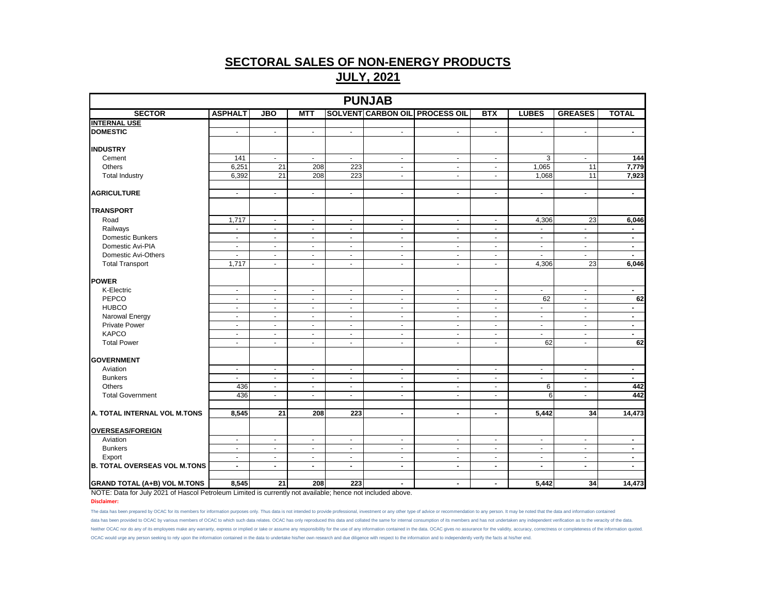|                                     |                |                             |                |                | <b>PUNJAB</b>  |                                       |                          |                                          |                          |                |
|-------------------------------------|----------------|-----------------------------|----------------|----------------|----------------|---------------------------------------|--------------------------|------------------------------------------|--------------------------|----------------|
| <b>SECTOR</b>                       | <b>ASPHALT</b> | <b>JBO</b>                  | <b>MTT</b>     |                |                | <b>SOLVENT CARBON OIL PROCESS OIL</b> | <b>BTX</b>               | <b>LUBES</b>                             | <b>GREASES</b>           | <b>TOTAL</b>   |
| <b>INTERNAL USE</b>                 |                |                             |                |                |                |                                       |                          |                                          |                          |                |
| <b>DOMESTIC</b>                     | $\blacksquare$ | $\blacksquare$              | $\sim$         | $\blacksquare$ | $\sim$         | $\sim$                                | $\sim$                   | $\sim$                                   | $\blacksquare$           | $\sim$         |
| <b>INDUSTRY</b>                     |                |                             |                |                |                |                                       |                          |                                          |                          |                |
| Cement                              | 141            | $\sim$                      | $\sim$         | $\mathbf{r}$   | $\sim$         | $\blacksquare$                        | $\mathcal{L}$            | 3                                        | $\blacksquare$           | $\frac{1}{44}$ |
| <b>Others</b>                       | 6,251          | 21                          | 208            | 223            | $\blacksquare$ | $\sim$                                | $\blacksquare$           | 1,065                                    | 11                       | 7,779          |
| <b>Total Industry</b>               | 6,392          | $\overline{21}$             | 208            | 223            | $\mathbf{r}$   | $\sim$                                | $\blacksquare$           | 1,068                                    | $\overline{11}$          | 7,923          |
| <b>AGRICULTURE</b>                  | $\blacksquare$ | $\blacksquare$              | $\sim$         | $\blacksquare$ | $\blacksquare$ | $\blacksquare$                        | $\sim$                   | $\blacksquare$                           | $\blacksquare$           | $\blacksquare$ |
| <b>TRANSPORT</b>                    |                |                             |                |                |                |                                       |                          |                                          |                          |                |
| Road                                | 1,717          | $\blacksquare$              | $\sim$         | $\sim$         | $\blacksquare$ | $\overline{\phantom{a}}$              | $\blacksquare$           | 4,306                                    | 23                       | 6,046          |
| Railways                            | $\blacksquare$ | $\sim$                      | $\blacksquare$ | $\blacksquare$ | $\blacksquare$ | $\sim$                                | $\sim$                   | $\blacksquare$                           | $\overline{\phantom{a}}$ | $\blacksquare$ |
| <b>Domestic Bunkers</b>             | $\blacksquare$ | $\blacksquare$              | $\sim$         | $\blacksquare$ | $\blacksquare$ | $\blacksquare$                        | $\blacksquare$           | $\blacksquare$                           | $\blacksquare$           | $\blacksquare$ |
| Domestic Avi-PIA                    | $\sim$         | $\sim$                      | $\sim$         | $\omega$       | $\omega$       | $\sim$                                | $\blacksquare$           | $\sim$                                   | $\blacksquare$           | $\blacksquare$ |
| Domestic Avi-Others                 | $\blacksquare$ | $\blacksquare$              | $\blacksquare$ | $\blacksquare$ | $\blacksquare$ | $\blacksquare$                        | $\blacksquare$           | $\sim$                                   | $\blacksquare$           | $\blacksquare$ |
| <b>Total Transport</b>              | 1,717          | $\blacksquare$              | $\sim$         | $\blacksquare$ | $\blacksquare$ | $\sim$                                | $\blacksquare$           | 4,306                                    | 23                       | 6,046          |
| <b>POWER</b>                        |                |                             |                |                |                |                                       |                          |                                          |                          |                |
| K-Electric                          | $\sim$         | $\blacksquare$              | $\blacksquare$ | $\sim$         | $\blacksquare$ | $\blacksquare$                        | $\blacksquare$           | $\sim$                                   | $\blacksquare$           | $\blacksquare$ |
| PEPCO                               | $\blacksquare$ | $\blacksquare$              | $\sim$         | $\blacksquare$ | $\blacksquare$ | $\sim$                                | $\blacksquare$           | 62                                       | $\sim$                   | 62             |
| <b>HUBCO</b>                        | $\sim$         | $\sim$                      | $\sim$         | $\sim$         | $\sim$         | $\sim$                                | $\sim$                   | $\sim$                                   | $\sim$                   | $\blacksquare$ |
| Narowal Energy                      | $\blacksquare$ | $\sim$                      | $\sim$         | $\blacksquare$ | $\blacksquare$ | $\sim$                                | $\blacksquare$           | $\blacksquare$                           | $\sim$                   | $\blacksquare$ |
| <b>Private Power</b>                | $\blacksquare$ | $\blacksquare$              | $\blacksquare$ | $\blacksquare$ | $\blacksquare$ | $\sim$                                | $\blacksquare$           | $\blacksquare$                           | $\blacksquare$           | $\blacksquare$ |
| <b>KAPCO</b>                        | $\sim$         | $\sim$                      | $\sim$         | $\blacksquare$ | $\sim$         | $\sim$                                | $\sim$                   | $\sim$                                   | $\sim$                   | $\blacksquare$ |
| <b>Total Power</b>                  | $\blacksquare$ | $\blacksquare$              | $\blacksquare$ | $\blacksquare$ | $\blacksquare$ | $\blacksquare$                        | $\blacksquare$           | 62                                       | $\blacksquare$           | 62             |
| <b>GOVERNMENT</b>                   |                |                             |                |                |                |                                       |                          |                                          |                          |                |
| Aviation                            | $\blacksquare$ | $\blacksquare$              | $\sim$         | $\sim$         | $\blacksquare$ | $\overline{\phantom{a}}$              | $\blacksquare$           | $\sim$                                   | $\blacksquare$           | $\sim$         |
| <b>Bunkers</b>                      | $\blacksquare$ | $\sim$                      | $\sim$         | $\blacksquare$ | $\blacksquare$ | $\sim$                                | $\blacksquare$           | $\sim$                                   | $\blacksquare$           | $\blacksquare$ |
| Others                              | 436            | $\blacksquare$              | $\sim$         | $\blacksquare$ | $\blacksquare$ | $\sim$                                | $\sim$                   | 6                                        | $\blacksquare$           | 442            |
| <b>Total Government</b>             | 436            | $\blacksquare$              | $\blacksquare$ | $\blacksquare$ | $\sim$         | $\sim$                                | $\sim$                   | 6                                        | $\sim$                   | 442            |
| A. TOTAL INTERNAL VOL M.TONS        | 8,545          | 21                          | 208            | 223            | $\blacksquare$ | $\blacksquare$                        | $\blacksquare$           | 5,442                                    | 34                       | 14,473         |
| <b>OVERSEAS/FOREIGN</b>             |                |                             |                |                |                |                                       |                          |                                          |                          |                |
| Aviation                            | $\sim$         | $\blacksquare$              | $\blacksquare$ | $\blacksquare$ | $\blacksquare$ | $\blacksquare$                        | $\blacksquare$           |                                          | $\blacksquare$           | $\blacksquare$ |
| <b>Bunkers</b>                      | $\blacksquare$ | $\blacksquare$              | $\blacksquare$ | $\blacksquare$ | $\blacksquare$ | $\sim$                                | $\blacksquare$           | $\overline{\phantom{a}}$<br>$\mathbf{r}$ | $\blacksquare$           | $\blacksquare$ |
| Export                              | $\omega$       | $\mathcal{L}_{\mathcal{A}}$ | $\sim$         | $\mathbf{r}$   | $\sim$         | $\sim$                                | $\sim$                   | $\sim$                                   | $\omega$                 | $\blacksquare$ |
| <b>B. TOTAL OVERSEAS VOL M.TONS</b> | $\blacksquare$ | $\blacksquare$              | $\blacksquare$ | $\blacksquare$ | $\blacksquare$ | $\blacksquare$                        | $\overline{\phantom{a}}$ | $\blacksquare$                           | $\blacksquare$           | $\blacksquare$ |
|                                     |                |                             |                |                |                |                                       |                          |                                          |                          |                |
| <b>GRAND TOTAL (A+B) VOL M.TONS</b> | 8,545          | 21                          | 208            | 223            | $\blacksquare$ | $\blacksquare$                        | $\blacksquare$           | 5,442                                    | 34                       | 14,473         |

NOTE: Data for July 2021 of Hascol Petroleum Limited is currently not available; hence not included above.

**Disclaimer:**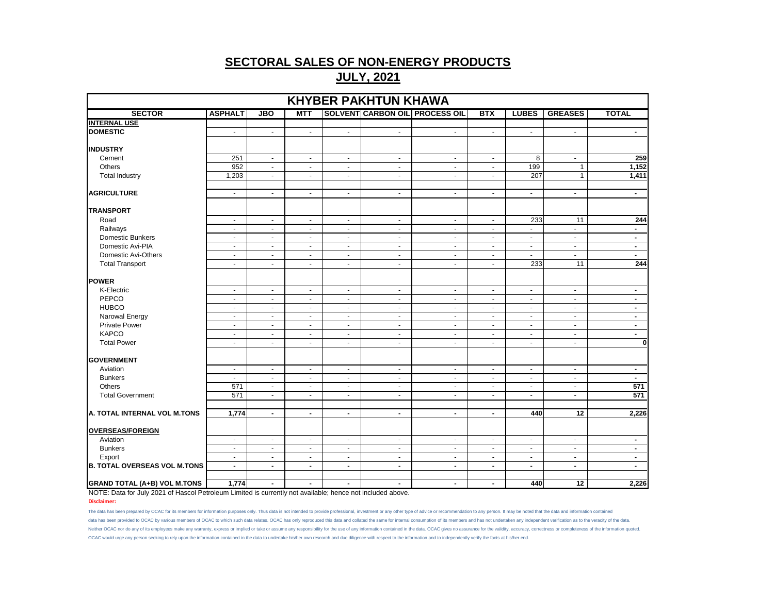| <b>KHYBER PAKHTUN KHAWA</b>         |                |                |                          |                             |                          |                                |                          |                |                             |                |  |
|-------------------------------------|----------------|----------------|--------------------------|-----------------------------|--------------------------|--------------------------------|--------------------------|----------------|-----------------------------|----------------|--|
| <b>SECTOR</b>                       | <b>ASPHALT</b> | <b>JBO</b>     | <b>MTT</b>               |                             |                          | SOLVENT CARBON OIL PROCESS OIL | <b>BTX</b>               | <b>LUBES</b>   | <b>GREASES</b>              | <b>TOTAL</b>   |  |
| <b>INTERNAL USE</b>                 |                |                |                          |                             |                          |                                |                          |                |                             |                |  |
| <b>DOMESTIC</b>                     | $\sim$         | $\sim$         | $\blacksquare$           | $\sim$                      | $\blacksquare$           | $\sim$                         | $\blacksquare$           | $\sim$         | $\blacksquare$              | $\blacksquare$ |  |
| <b>INDUSTRY</b>                     |                |                |                          |                             |                          |                                |                          |                |                             |                |  |
| Cement                              | 251            | $\omega$       | $\omega$                 | $\omega$                    | $\omega$                 | $\omega$                       | $\sim$                   | 8              | $\omega$                    | 259            |  |
| Others                              | 952            | $\sim$         | $\sim$                   | $\sim$                      | $\sim$                   | $\sim$                         | $\sim$                   | 199            | $\mathbf{1}$                | 1,152          |  |
| <b>Total Industry</b>               | 1,203          | $\omega$       | $\omega$                 | $\mathcal{L}_{\mathcal{C}}$ | $\mathbf{r}$             | $\sim$                         | $\sim$                   | 207            | $\mathbf{1}$                | 1,411          |  |
| <b>AGRICULTURE</b>                  | $\sim$         | $\sim$         | $\sim$                   | $\sim$                      | $\sim$                   | $\sim$                         | $\blacksquare$           | $\sim$         | $\sim$                      | $\blacksquare$ |  |
| <b>TRANSPORT</b>                    |                |                |                          |                             |                          |                                |                          |                |                             |                |  |
| Road                                | $\sim$         | $\sim$         | $\blacksquare$           | $\sim$                      | $\sim$                   | $\sim$                         | $\sim$                   | 233            | 11                          | 244            |  |
| Railways                            | $\blacksquare$ | $\sim$         | $\sim$                   | $\sim$                      | $\blacksquare$           | $\omega$                       | $\sim$                   | $\omega$       | $\omega$                    | $\blacksquare$ |  |
| <b>Domestic Bunkers</b>             | $\blacksquare$ | $\sim$         | $\blacksquare$           | $\sim$                      | $\blacksquare$           | $\sim$                         | $\sim$                   | $\blacksquare$ | $\blacksquare$              | $\blacksquare$ |  |
| Domestic Avi-PIA                    | $\blacksquare$ | $\sim$         | $\overline{\phantom{a}}$ | $\blacksquare$              | $\overline{\phantom{a}}$ | $\sim$                         | $\sim$                   | $\sim$         | $\sim$                      | $\blacksquare$ |  |
| Domestic Avi-Others                 | $\sim$         | $\sim$         | $\sim$                   | $\sim$                      | $\sim$                   | $\mathbf{r}$                   | $\sim$                   | $\sim$         | ÷.                          | $\blacksquare$ |  |
| <b>Total Transport</b>              | $\omega$       | $\omega$       | $\omega$                 | $\omega$                    | $\omega$                 | $\sim$                         | $\sim$                   | 233            | $\overline{11}$             | 244            |  |
| <b>POWER</b>                        |                |                |                          |                             |                          |                                |                          |                |                             |                |  |
| K-Electric                          | $\blacksquare$ | $\sim$         | $\blacksquare$           | $\blacksquare$              | $\sim$                   | $\omega$                       | $\sim$                   | $\sim$         | $\blacksquare$              | $\blacksquare$ |  |
| PEPCO                               | $\blacksquare$ | $\blacksquare$ | $\blacksquare$           | $\blacksquare$              | $\blacksquare$           | $\blacksquare$                 | $\overline{\phantom{a}}$ | $\blacksquare$ | $\blacksquare$              | $\blacksquare$ |  |
| <b>HUBCO</b>                        | $\sim$         | $\sim$         | $\sim$                   | $\sim$                      | $\sim$                   | $\sim$                         | $\sim$                   | $\sim$         | $\mathcal{L}_{\mathcal{A}}$ | $\blacksquare$ |  |
| Narowal Energy                      | $\sim$         | $\sim$         | $\blacksquare$           | $\blacksquare$              | $\overline{\phantom{a}}$ | $\blacksquare$                 | $\sim$                   | $\sim$         | $\blacksquare$              | $\blacksquare$ |  |
| <b>Private Power</b>                | $\blacksquare$ | $\blacksquare$ | $\sim$                   | $\overline{\phantom{a}}$    | $\sim$                   | $\blacksquare$                 | $\sim$                   | $\blacksquare$ | $\mathbf{r}$                | $\blacksquare$ |  |
| <b>KAPCO</b>                        | $\sim$         | $\sim$         | $\sim$                   | $\sim$                      | $\blacksquare$           | $\sim$                         | $\sim$                   | $\sim$         | $\blacksquare$              | $\blacksquare$ |  |
| <b>Total Power</b>                  | $\blacksquare$ | $\sim$         | $\blacksquare$           | $\blacksquare$              | $\sim$                   | $\sim$                         | $\blacksquare$           | $\blacksquare$ | $\blacksquare$              | $\mathbf{0}$   |  |
| <b>GOVERNMENT</b>                   |                |                |                          |                             |                          |                                |                          |                |                             |                |  |
| Aviation                            | $\blacksquare$ | $\sim$         | $\sim$                   | $\sim$                      | $\blacksquare$           | $\sim$                         | $\sim$                   | $\sim$         | $\blacksquare$              | $\blacksquare$ |  |
| <b>Bunkers</b>                      | $\blacksquare$ | $\sim$         | $\blacksquare$           | $\blacksquare$              | $\blacksquare$           | $\omega$                       | $\sim$                   | $\omega$       | $\omega$                    | $\blacksquare$ |  |
| Others                              | 571            | $\omega$       | $\blacksquare$           | $\sim$                      | $\sim$                   | $\sim$                         | $\sim$                   | $\sim$         | $\blacksquare$              | 571            |  |
| <b>Total Government</b>             | 571            | $\sim$         | $\sim$                   | $\sim$                      | $\blacksquare$           | $\sim$                         | $\sim$                   | $\sim$         | $\blacksquare$              | 571            |  |
| A. TOTAL INTERNAL VOL M.TONS        | 1,774          | $\blacksquare$ | $\blacksquare$           | $\blacksquare$              | $\blacksquare$           | $\blacksquare$                 | $\blacksquare$           | 440            | $\overline{12}$             | 2,226          |  |
|                                     |                |                |                          |                             |                          |                                |                          |                |                             |                |  |
| <b>OVERSEAS/FOREIGN</b>             |                |                |                          |                             |                          |                                |                          |                |                             |                |  |
| Aviation                            | $\blacksquare$ | $\blacksquare$ | $\sim$                   | $\blacksquare$              | $\blacksquare$           | $\blacksquare$                 | $\blacksquare$           | $\sim$         | $\blacksquare$              | $\blacksquare$ |  |
| <b>Bunkers</b>                      | $\sim$         | $\sim$         | $\blacksquare$           | $\sim$                      | $\overline{\phantom{a}}$ | $\sim$                         | $\blacksquare$           | $\sim$         | $\omega$                    | $\blacksquare$ |  |
| Export                              | $\blacksquare$ | $\sim$         | $\blacksquare$           | $\sim$                      | $\blacksquare$           | $\omega$                       | $\sim$                   | $\sim$         | $\omega$                    | $\blacksquare$ |  |
| <b>B. TOTAL OVERSEAS VOL M.TONS</b> | $\blacksquare$ | $\blacksquare$ | $\blacksquare$           | $\blacksquare$              | $\blacksquare$           | $\blacksquare$                 | $\sim$                   | $\blacksquare$ | $\blacksquare$              | $\blacksquare$ |  |
| <b>GRAND TOTAL (A+B) VOL M.TONS</b> | 1,774          | $\blacksquare$ | $\blacksquare$           | $\blacksquare$              | $\blacksquare$           | $\blacksquare$                 | $\blacksquare$           | 440            | 12                          | 2,226          |  |

NOTE: Data for July 2021 of Hascol Petroleum Limited is currently not available; hence not included above.

**Disclaimer:**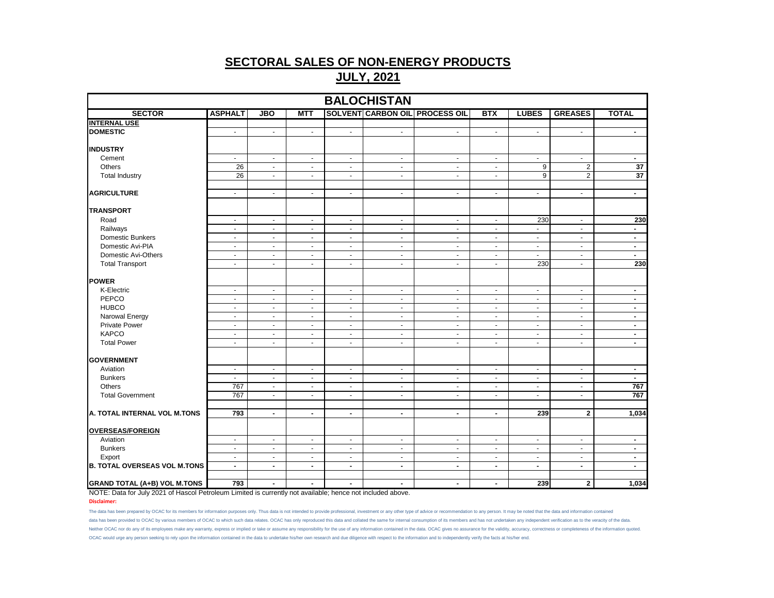| <b>BALOCHISTAN</b>                  |                |                |                          |                |                             |                                       |                          |                |                          |                 |
|-------------------------------------|----------------|----------------|--------------------------|----------------|-----------------------------|---------------------------------------|--------------------------|----------------|--------------------------|-----------------|
| <b>SECTOR</b>                       | <b>ASPHALT</b> | <b>JBO</b>     | <b>MTT</b>               |                |                             | <b>SOLVENT CARBON OIL PROCESS OIL</b> | <b>BTX</b>               | <b>LUBES</b>   | <b>GREASES</b>           | <b>TOTAL</b>    |
| <b>INTERNAL USE</b>                 |                |                |                          |                |                             |                                       |                          |                |                          |                 |
| <b>DOMESTIC</b>                     | $\blacksquare$ | $\blacksquare$ | $\blacksquare$           | $\blacksquare$ | $\blacksquare$              | $\blacksquare$                        | $\blacksquare$           | $\blacksquare$ | $\blacksquare$           | $\blacksquare$  |
| <b>INDUSTRY</b>                     |                |                |                          |                |                             |                                       |                          |                |                          |                 |
| Cement                              | $\blacksquare$ | $\blacksquare$ | $\blacksquare$           | $\blacksquare$ | $\blacksquare$              | $\blacksquare$                        | $\blacksquare$           | $\omega$       | $\blacksquare$           | $\blacksquare$  |
| <b>Others</b>                       | 26             | $\sim$         | $\overline{\phantom{a}}$ | $\sim$         | $\sim$                      | $\overline{\phantom{a}}$              | $\overline{\phantom{a}}$ | $9\,$          | $\overline{2}$           | $\overline{37}$ |
| <b>Total Industry</b>               | 26             | $\mathbf{r}$   | $\sim$                   | $\blacksquare$ | $\mathcal{L}_{\mathcal{A}}$ | $\omega$                              | $\mathbf{r}$             | $9\,$          | $\overline{2}$           | 37              |
| <b>AGRICULTURE</b>                  | $\sim$         | $\blacksquare$ | $\sim$                   | $\sim$         | $\blacksquare$              | $\blacksquare$                        | $\overline{\phantom{a}}$ | $\blacksquare$ | $\blacksquare$           | $\sim$          |
| <b>TRANSPORT</b>                    |                |                |                          |                |                             |                                       |                          |                |                          |                 |
| Road                                | $\blacksquare$ | $\blacksquare$ | $\sim$                   | $\blacksquare$ | $\blacksquare$              | $\blacksquare$                        | $\blacksquare$           | 230            | $\blacksquare$           | 230             |
| Railways                            | $\sim$         | $\sim$         | $\sim$                   | $\blacksquare$ | $\sim$                      | $\blacksquare$                        | $\blacksquare$           | $\omega$       | $\sim$                   | $\sim$          |
| Domestic Bunkers                    | $\sim$         | $\sim$         | $\sim$                   | $\blacksquare$ | $\sim$                      | $\blacksquare$                        | $\blacksquare$           | $\sim$         | $\sim$                   | $\blacksquare$  |
| Domestic Avi-PIA                    | $\omega$       | $\blacksquare$ | $\omega$                 | $\omega$       | $\sim$                      | $\overline{\phantom{a}}$              | $\sim$                   | $\omega$       | $\blacksquare$           | $\blacksquare$  |
| Domestic Avi-Others                 | $\sim$         | $\sim$         | $\sim$                   | $\sim$         | $\sim$                      | $\sim$                                | $\blacksquare$           | $\sim$         | $\sim$                   | $\sim$          |
| <b>Total Transport</b>              | $\blacksquare$ | $\blacksquare$ | $\sim$                   | $\blacksquare$ | $\blacksquare$              | $\mathbf{r}$                          | $\blacksquare$           | 230            | $\blacksquare$           | 230             |
|                                     |                |                |                          |                |                             |                                       |                          |                |                          |                 |
| POWER                               |                |                |                          |                |                             |                                       |                          |                |                          |                 |
| K-Electric                          | $\sim$         | $\sim$         | $\blacksquare$           | $\sim$         | $\blacksquare$              | $\blacksquare$                        | $\blacksquare$           | $\sim$         | $\sim$                   | $\sim$          |
| PEPCO                               | $\blacksquare$ | $\blacksquare$ | $\blacksquare$           | $\blacksquare$ | $\blacksquare$              | $\overline{\phantom{a}}$              | $\blacksquare$           | $\sim$         | $\blacksquare$           | $\blacksquare$  |
| <b>HUBCO</b>                        | $\sim$         | $\sim$         | $\sim$                   | $\omega$       | $\blacksquare$              | $\omega$                              | $\omega$                 | $\sim$         | $\sim$                   | $\sim$          |
| Narowal Energy                      | $\sim$         | $\blacksquare$ | $\sim$                   | $\blacksquare$ | $\blacksquare$              | $\blacksquare$                        | $\blacksquare$           | $\sim$         | $\blacksquare$           | $\blacksquare$  |
| <b>Private Power</b>                | $\blacksquare$ | $\blacksquare$ | $\omega$                 | $\omega$       | $\blacksquare$              | $\blacksquare$                        | $\blacksquare$           | $\omega$       | $\overline{\phantom{a}}$ | $\blacksquare$  |
| <b>KAPCO</b>                        | $\sim$         | $\blacksquare$ | $\sim$                   | $\blacksquare$ | $\blacksquare$              | $\blacksquare$                        | $\blacksquare$           | $\sim$         | $\sim$                   | $\blacksquare$  |
| <b>Total Power</b>                  | $\sim$         | $\mathbf{r}$   | $\omega$                 | $\omega$       | $\omega$                    | $\blacksquare$                        | $\omega$                 | $\omega$       | $\omega$                 | $\blacksquare$  |
| <b>GOVERNMENT</b>                   |                |                |                          |                |                             |                                       |                          |                |                          |                 |
| Aviation                            | $\sim$         | $\sim$         | $\sim$                   | $\blacksquare$ | $\blacksquare$              | $\sim$                                | $\blacksquare$           | $\sim$         | $\blacksquare$           | $\sim$          |
| <b>Bunkers</b>                      | $\sim$         | $\omega$       | $\omega$                 | $\omega$       | $\blacksquare$              | $\mathbf{u}$                          | $\blacksquare$           | $\omega$       | $\mathbf{r}$             | $\blacksquare$  |
| Others                              | 767            | $\sim$         | $\sim$                   | $\sim$         | $\sim$                      | $\blacksquare$                        | $\blacksquare$           | $\sim$         | $\blacksquare$           | 767             |
| <b>Total Government</b>             | 767            | $\omega$       | $\sim$                   | $\sim$         | $\omega$                    | $\mathbf{r}$                          | $\blacksquare$           | $\omega$       | $\blacksquare$           | 767             |
| A. TOTAL INTERNAL VOL M.TONS        | 793            | $\blacksquare$ | $\blacksquare$           | $\blacksquare$ | $\blacksquare$              | $\blacksquare$                        | $\blacksquare$           | 239            | $\mathbf{2}$             | 1,034           |
|                                     |                |                |                          |                |                             |                                       |                          |                |                          |                 |
| <b>OVERSEAS/FOREIGN</b>             |                |                |                          |                |                             |                                       |                          |                |                          |                 |
| Aviation                            | $\blacksquare$ | $\blacksquare$ | $\sim$                   | $\blacksquare$ | $\blacksquare$              | $\blacksquare$                        | $\blacksquare$           | $\sim$         | $\blacksquare$           | $\blacksquare$  |
| <b>Bunkers</b>                      | $\sim$         | $\sim$         | $\sim$                   | $\sim$         | $\blacksquare$              | $\overline{\phantom{a}}$              | $\sim$                   | $\sim$         | $\sim$                   | $\sim$          |
| Export                              | $\sim$         | $\sim$         | $\sim$                   | $\blacksquare$ | $\sim$                      | $\sim$                                | $\blacksquare$           | $\sim$         | $\blacksquare$           | $\sim$          |
| <b>B. TOTAL OVERSEAS VOL M.TONS</b> | $\blacksquare$ | $\blacksquare$ | $\blacksquare$           | $\blacksquare$ | $\blacksquare$              | $\blacksquare$                        | $\blacksquare$           | $\blacksquare$ | ٠                        | $\blacksquare$  |
| <b>GRAND TOTAL (A+B) VOL M.TONS</b> | 793            | $\blacksquare$ | $\blacksquare$           | $\blacksquare$ | $\blacksquare$              | $\overline{\phantom{a}}$              | $\blacksquare$           | 239            | $\overline{2}$           | 1,034           |

NOTE: Data for July 2021 of Hascol Petroleum Limited is currently not available; hence not included above.

**Disclaimer:**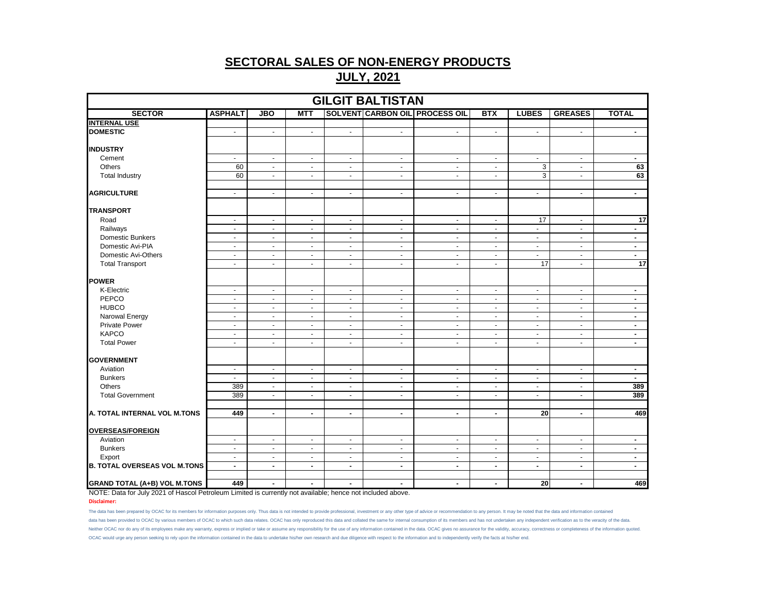| <b>GILGIT BALTISTAN</b>             |                |                |                             |                          |                          |                                       |                |                          |                |                 |  |
|-------------------------------------|----------------|----------------|-----------------------------|--------------------------|--------------------------|---------------------------------------|----------------|--------------------------|----------------|-----------------|--|
| <b>SECTOR</b>                       | <b>ASPHALT</b> | <b>JBO</b>     | <b>MTT</b>                  |                          |                          | <b>SOLVENT CARBON OIL PROCESS OIL</b> | <b>BTX</b>     | <b>LUBES</b>             | <b>GREASES</b> | <b>TOTAL</b>    |  |
| <b>INTERNAL USE</b>                 |                |                |                             |                          |                          |                                       |                |                          |                |                 |  |
| <b>DOMESTIC</b>                     | $\blacksquare$ | $\blacksquare$ | $\blacksquare$              | $\blacksquare$           | $\blacksquare$           | $\sim$                                | $\blacksquare$ | $\sim$                   | $\blacksquare$ | $\blacksquare$  |  |
| <b>INDUSTRY</b>                     |                |                |                             |                          |                          |                                       |                |                          |                |                 |  |
| Cement                              | $\blacksquare$ | $\blacksquare$ | $\mathcal{L}_{\mathcal{A}}$ | $\blacksquare$           | $\blacksquare$           | $\blacksquare$                        | $\blacksquare$ | $\overline{\phantom{a}}$ | $\blacksquare$ | $\blacksquare$  |  |
| Others                              | 60             | $\mathbf{r}$   | $\sim$                      | $\sim$                   | $\blacksquare$           | $\blacksquare$                        | $\sim$         | 3                        | $\blacksquare$ | 63              |  |
| <b>Total Industry</b>               | 60             | $\sim$         | $\sim$                      | $\sim$                   | $\sim$                   | $\sim$                                | $\sim$         | 3                        | $\sim$         | 63              |  |
| <b>AGRICULTURE</b>                  | $\omega$       | $\blacksquare$ | $\omega$                    | $\omega$                 | $\omega$                 | $\omega$                              | $\blacksquare$ | $\blacksquare$           | $\sim$         | $\blacksquare$  |  |
|                                     |                |                |                             |                          |                          |                                       |                |                          |                |                 |  |
| <b>TRANSPORT</b>                    |                |                |                             |                          |                          |                                       |                | 17                       |                | $\overline{17}$ |  |
| Road                                | $\blacksquare$ | $\blacksquare$ | $\sim$                      | $\blacksquare$           | $\blacksquare$           | $\blacksquare$                        | $\blacksquare$ |                          | $\blacksquare$ |                 |  |
| Railways                            | $\sim$         | $\blacksquare$ | $\sim$                      | $\sim$                   | $\blacksquare$           | $\sim$                                | $\sim$         | $\omega$                 | $\omega$       | $\blacksquare$  |  |
| Domestic Bunkers                    | $\blacksquare$ | $\blacksquare$ | $\sim$                      | $\blacksquare$           | $\sim$                   | $\overline{\phantom{a}}$              | $\blacksquare$ | $\blacksquare$           | $\sim$         | $\blacksquare$  |  |
| Domestic Avi-PIA                    | $\blacksquare$ | $\blacksquare$ | $\sim$                      | $\blacksquare$           | $\overline{\phantom{a}}$ | $\blacksquare$                        | $\sim$         | $\overline{\phantom{a}}$ | $\sim$         | $\blacksquare$  |  |
| Domestic Avi-Others                 | $\sim$         | $\blacksquare$ | $\sim$                      | $\sim$                   | $\blacksquare$           | $\sim$                                | $\blacksquare$ | $\omega$                 | $\sim$         | $\blacksquare$  |  |
| <b>Total Transport</b>              | $\blacksquare$ | $\blacksquare$ | $\sim$                      | $\blacksquare$           | $\sim$                   | $\overline{\phantom{a}}$              | $\blacksquare$ | 17                       | $\blacksquare$ | $\overline{17}$ |  |
| <b>POWER</b>                        |                |                |                             |                          |                          |                                       |                |                          |                |                 |  |
| K-Electric                          | $\sim$         | $\blacksquare$ | $\blacksquare$              | $\blacksquare$           | $\blacksquare$           | $\blacksquare$                        | $\blacksquare$ | $\blacksquare$           | $\blacksquare$ | $\blacksquare$  |  |
| PEPCO                               | $\sim$         | $\blacksquare$ | $\sim$                      | $\overline{\phantom{a}}$ | $\overline{\phantom{a}}$ | $\sim$                                | ÷,             | ä,                       | $\sim$         | $\blacksquare$  |  |
| <b>HUBCO</b>                        | $\sim$         | $\blacksquare$ | $\sim$                      | $\sim$                   | $\sim$                   | $\blacksquare$                        | $\blacksquare$ | $\blacksquare$           | $\sim$         | $\sim$          |  |
| Narowal Energy                      | $\blacksquare$ | $\blacksquare$ | $\sim$                      | $\blacksquare$           | $\blacksquare$           | $\blacksquare$                        | $\sim$         | $\blacksquare$           | $\sim$         | $\blacksquare$  |  |
| <b>Private Power</b>                | $\sim$         | $\blacksquare$ | $\sim$                      | $\sim$                   | $\blacksquare$           | $\sim$                                | $\sim$         | $\blacksquare$           | $\blacksquare$ | $\blacksquare$  |  |
| <b>KAPCO</b>                        | $\sim$         | $\blacksquare$ | $\sim$                      | $\sim$                   | $\sim$                   | $\omega$                              | $\blacksquare$ | $\blacksquare$           | $\blacksquare$ | $\sim$          |  |
| <b>Total Power</b>                  | $\blacksquare$ | $\blacksquare$ | $\sim$                      | $\sim$                   | $\blacksquare$           | $\blacksquare$                        | $\blacksquare$ | $\blacksquare$           | $\sim$         | $\blacksquare$  |  |
| <b>GOVERNMENT</b>                   |                |                |                             |                          |                          |                                       |                |                          |                |                 |  |
| Aviation                            | $\blacksquare$ | $\blacksquare$ | $\sim$                      | $\sim$                   | $\sim$                   | $\sim$                                | $\blacksquare$ | $\sim$                   | $\sim$         | $\sim$          |  |
| <b>Bunkers</b>                      | $\mathbf{u}$   | $\blacksquare$ | $\sim$                      | $\omega$                 | $\blacksquare$           | $\blacksquare$                        | $\blacksquare$ | $\blacksquare$           | $\blacksquare$ | $\blacksquare$  |  |
| Others                              | 389            | $\blacksquare$ | $\sim$                      | $\sim$                   | $\sim$                   | $\sim$                                | $\blacksquare$ | $\sim$                   | $\sim$         | 389             |  |
| <b>Total Government</b>             | 389            | $\blacksquare$ | $\sim$                      | $\blacksquare$           | $\blacksquare$           | $\blacksquare$                        | $\blacksquare$ | $\blacksquare$           | $\blacksquare$ | 389             |  |
|                                     |                |                |                             |                          |                          |                                       |                |                          |                |                 |  |
| A. TOTAL INTERNAL VOL M.TONS        | 449            | $\blacksquare$ | $\blacksquare$              | $\blacksquare$           | $\blacksquare$           | $\blacksquare$                        | $\blacksquare$ | $\overline{20}$          | $\blacksquare$ | 469             |  |
|                                     |                |                |                             |                          |                          |                                       |                |                          |                |                 |  |
| <b>OVERSEAS/FOREIGN</b>             |                |                |                             |                          |                          |                                       |                |                          |                |                 |  |
| Aviation                            | $\sim$         | $\blacksquare$ | $\sim$                      | $\blacksquare$           | $\blacksquare$           | $\blacksquare$                        | $\blacksquare$ | $\sim$                   | $\sim$         | $\sim$          |  |
| <b>Bunkers</b>                      | $\blacksquare$ | $\blacksquare$ | $\sim$                      | $\blacksquare$           | $\blacksquare$           | $\blacksquare$                        | $\blacksquare$ | $\sim$                   | $\blacksquare$ | $\blacksquare$  |  |
| Export                              | $\sim$         | $\mathbf{r}$   | $\omega$                    | $\omega$                 | $\omega$                 | $\omega$                              | $\omega$       | $\mathbf{u}$             | $\blacksquare$ | $\blacksquare$  |  |
| <b>B. TOTAL OVERSEAS VOL M.TONS</b> | $\sim$         | $\blacksquare$ | $\sim$                      | $\sim$                   | $\blacksquare$           | $\blacksquare$                        | $\blacksquare$ | $\blacksquare$           | $\blacksquare$ | $\sim$          |  |
| <b>GRAND TOTAL (A+B) VOL M.TONS</b> | 449            | $\blacksquare$ | $\blacksquare$              | $\blacksquare$           | $\blacksquare$           | $\blacksquare$                        | $\blacksquare$ | 20                       | $\blacksquare$ | 469             |  |

NOTE: Data for July 2021 of Hascol Petroleum Limited is currently not available; hence not included above.

**Disclaimer:**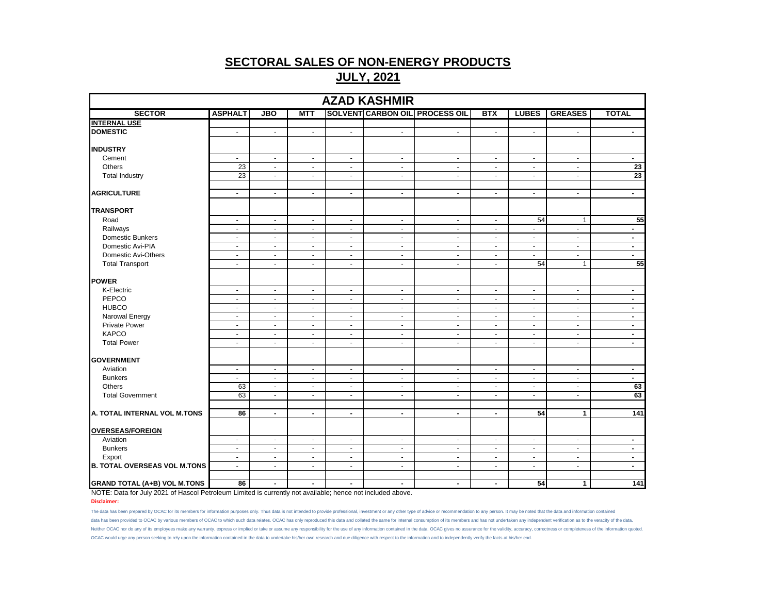| <b>AZAD KASHMIR</b>                 |                          |                          |                |                |                |                                       |                          |                          |                          |                          |
|-------------------------------------|--------------------------|--------------------------|----------------|----------------|----------------|---------------------------------------|--------------------------|--------------------------|--------------------------|--------------------------|
| <b>SECTOR</b>                       | <b>ASPHALT</b>           | <b>JBO</b>               | <b>MTT</b>     |                |                | <b>SOLVENT CARBON OIL PROCESS OIL</b> | <b>BTX</b>               | <b>LUBES</b>             | <b>GREASES</b>           | <b>TOTAL</b>             |
| <b>INTERNAL USE</b>                 |                          |                          |                |                |                |                                       |                          |                          |                          |                          |
| <b>DOMESTIC</b>                     | $\sim$                   | $\sim$                   | $\sim$         | $\sim$         | $\sim$         | $\blacksquare$                        | $\sim$                   | $\sim$                   | $\sim$                   | $\sim$                   |
|                                     |                          |                          |                |                |                |                                       |                          |                          |                          |                          |
| <b>INDUSTRY</b>                     |                          |                          |                |                |                |                                       |                          |                          |                          |                          |
| Cement                              | $\blacksquare$           | $\mathbf{r}$             | $\sim$         | $\sim$         | $\omega$       | $\blacksquare$                        | $\mathbf{r}$             | $\blacksquare$           | $\sim$                   | $\blacksquare$           |
| <b>Others</b>                       | $\overline{23}$          | $\blacksquare$           | $\sim$         | $\sim$         | $\blacksquare$ | $\blacksquare$                        | $\blacksquare$           | $\overline{\phantom{a}}$ | $\overline{\phantom{a}}$ | $\overline{23}$          |
| <b>Total Industry</b>               | $\overline{23}$          | $\blacksquare$           | $\blacksquare$ | $\blacksquare$ | $\sim$         | $\sim$                                | $\sim$                   | ä,                       | ä,                       | 23                       |
|                                     | $\omega$                 | $\omega$                 | $\omega$       | $\omega$       |                | $\mathbf{u}$                          | $\sim$                   | $\omega$                 | $\mathbf{r}$             |                          |
| <b>AGRICULTURE</b>                  |                          |                          |                |                | $\blacksquare$ |                                       |                          |                          |                          | $\sim$                   |
| <b>TRANSPORT</b>                    |                          |                          |                |                |                |                                       |                          |                          |                          |                          |
| Road                                | $\sim$                   | $\sim$                   | $\sim$         | $\sim$         | $\blacksquare$ | $\blacksquare$                        | $\blacksquare$           | 54                       | $\mathbf{1}$             | 55                       |
| Railways                            | $\omega$                 | $\blacksquare$           | $\omega$       | $\omega$       | $\blacksquare$ | $\blacksquare$                        | $\sim$                   | $\omega$                 | $\mathbf{r}$             | $\blacksquare$           |
| Domestic Bunkers                    | $\blacksquare$           | $\sim$                   | $\sim$         | $\sim$         | $\sim$         | $\blacksquare$                        | $\blacksquare$           | $\blacksquare$           | $\blacksquare$           | $\sim$                   |
| Domestic Avi-PIA                    | $\omega$                 | $\blacksquare$           | $\sim$         | $\blacksquare$ | $\omega$       | $\blacksquare$                        | $\sim$                   | $\blacksquare$           | $\blacksquare$           | $\sim$                   |
| Domestic Avi-Others                 | $\blacksquare$           | $\blacksquare$           | $\sim$         | $\sim$         | $\blacksquare$ | $\blacksquare$                        | $\blacksquare$           | $\omega$                 | $\blacksquare$           | $\overline{\phantom{0}}$ |
| <b>Total Transport</b>              | $\sim$                   | $\blacksquare$           | $\sim$         | $\blacksquare$ | $\blacksquare$ | $\blacksquare$                        | $\sim$                   | 54                       | $\mathbf{1}$             | 55                       |
|                                     |                          |                          |                |                |                |                                       |                          |                          |                          |                          |
| POWER                               |                          |                          |                |                |                |                                       |                          |                          |                          |                          |
| K-Electric                          | $\blacksquare$           | $\blacksquare$           | $\blacksquare$ | $\blacksquare$ | $\blacksquare$ | $\blacksquare$                        | $\blacksquare$           | $\blacksquare$           | $\blacksquare$           | $\blacksquare$           |
| PEPCO                               | $\sim$                   | $\sim$                   | $\sim$         | $\sim$         | $\blacksquare$ | $\blacksquare$                        | $\overline{\phantom{a}}$ | $\overline{\phantom{a}}$ | $\sim$                   | $\blacksquare$           |
| <b>HUBCO</b>                        | $\omega$                 | $\omega$                 | $\sim$         | $\sim$         | $\blacksquare$ | $\blacksquare$                        | $\sim$                   | $\blacksquare$           | $\blacksquare$           | $\blacksquare$           |
| Narowal Energy                      | $\overline{\phantom{a}}$ | $\blacksquare$           | $\sim$         | $\blacksquare$ | $\blacksquare$ | $\overline{\phantom{a}}$              | $\overline{\phantom{a}}$ | $\blacksquare$           | $\blacksquare$           | $\blacksquare$           |
| <b>Private Power</b>                | $\sim$                   | $\sim$                   | $\sim$         | $\sim$         | $\sim$         | $\blacksquare$                        | $\sim$                   | $\overline{\phantom{a}}$ | $\overline{\phantom{a}}$ | $\sim$                   |
| <b>KAPCO</b>                        | $\blacksquare$           | $\sim$                   | $\sim$         | $\sim$         | $\blacksquare$ | $\blacksquare$                        | $\blacksquare$           | $\blacksquare$           | $\blacksquare$           | $\blacksquare$           |
| <b>Total Power</b>                  | $\omega$                 | $\blacksquare$           | $\sim$         | $\blacksquare$ | $\blacksquare$ | $\overline{\phantom{a}}$              | $\omega$                 | $\omega$                 | $\omega$                 | $\blacksquare$           |
|                                     |                          |                          |                |                |                |                                       |                          |                          |                          |                          |
| <b>GOVERNMENT</b>                   |                          |                          |                |                |                |                                       |                          |                          |                          |                          |
| Aviation                            | $\blacksquare$           | $\blacksquare$           | $\blacksquare$ | $\sim$         | $\blacksquare$ | $\blacksquare$                        | $\blacksquare$           | $\blacksquare$           | $\blacksquare$           | $\blacksquare$           |
| <b>Bunkers</b>                      | $\blacksquare$           | $\mathbf{r}$             | $\blacksquare$ | $\omega$       | $\blacksquare$ | $\blacksquare$                        | $\sim$                   | ÷.                       | $\sim$                   | $\blacksquare$           |
| Others                              | 63                       | $\blacksquare$           | $\sim$         | $\blacksquare$ | $\blacksquare$ | $\blacksquare$                        | $\sim$                   | $\blacksquare$           | $\blacksquare$           | 63                       |
| <b>Total Government</b>             | 63                       | $\blacksquare$           | $\omega$       | $\omega$       | $\blacksquare$ | $\blacksquare$                        | $\sim$                   | $\blacksquare$           | $\mathbf{r}$             | 63                       |
|                                     |                          |                          |                |                |                |                                       |                          |                          |                          |                          |
| A. TOTAL INTERNAL VOL M.TONS        | 86                       | $\overline{\phantom{a}}$ | $\sim$         | $\sim$         | $\blacksquare$ | $\blacksquare$                        | $\blacksquare$           | 54                       | $\mathbf{1}$             | 141                      |
|                                     |                          |                          |                |                |                |                                       |                          |                          |                          |                          |
| <b>OVERSEAS/FOREIGN</b>             |                          |                          |                |                |                |                                       |                          |                          |                          |                          |
| Aviation                            | $\sim$                   | $\blacksquare$           | $\sim$         | $\sim$         | $\blacksquare$ | $\blacksquare$                        | $\sim$                   | $\blacksquare$           | $\blacksquare$           | $\sim$                   |
| <b>Bunkers</b>                      | $\blacksquare$           | $\blacksquare$           | $\blacksquare$ | $\blacksquare$ | $\blacksquare$ | $\blacksquare$                        | $\blacksquare$           | $\blacksquare$           | $\overline{\phantom{a}}$ | $\blacksquare$           |
| Export                              | $\omega$                 | $\mathbf{r}$             | $\sim$         | $\omega$       | $\blacksquare$ | $\overline{\phantom{a}}$              | $\sim$                   | $\sim$                   | $\omega$                 | $\blacksquare$           |
| <b>B. TOTAL OVERSEAS VOL M.TONS</b> | $\sim$                   | $\sim$                   | $\sim$         | $\sim$         | $\sim$         | $\blacksquare$                        | $\blacksquare$           | $\blacksquare$           | $\blacksquare$           | $\blacksquare$           |
|                                     |                          |                          |                |                |                |                                       |                          |                          |                          |                          |
| <b>GRAND TOTAL (A+B) VOL M.TONS</b> | 86                       | $\blacksquare$           | $\blacksquare$ | $\blacksquare$ | $\blacksquare$ | $\blacksquare$                        | $\blacksquare$           | 54                       | $\mathbf{1}$             | 141                      |

NOTE: Data for July 2021 of Hascol Petroleum Limited is currently not available; hence not included above.

**Disclaimer:**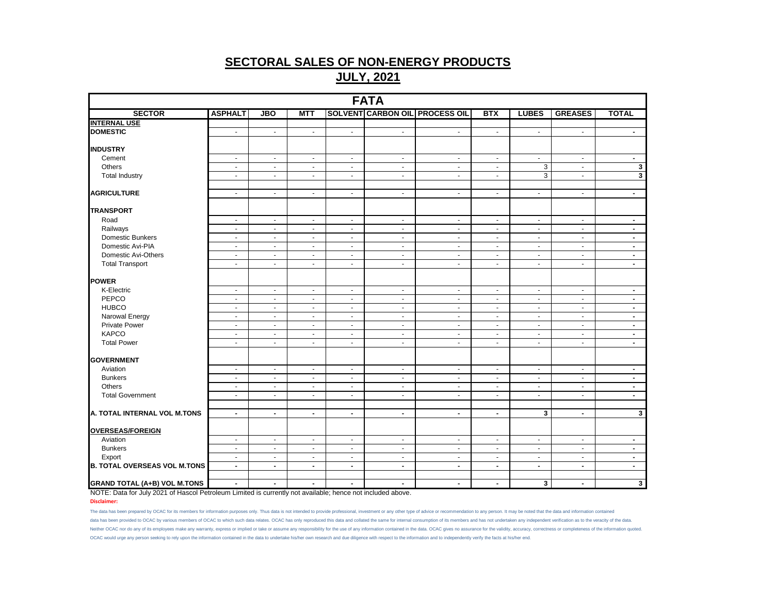| <b>FATA</b>                         |                |                |                          |                |                          |                                       |                |                |                             |                         |
|-------------------------------------|----------------|----------------|--------------------------|----------------|--------------------------|---------------------------------------|----------------|----------------|-----------------------------|-------------------------|
| <b>SECTOR</b>                       | <b>ASPHALT</b> | <b>JBO</b>     | <b>MTT</b>               |                |                          | <b>SOLVENT CARBON OIL PROCESS OIL</b> | <b>BTX</b>     | <b>LUBES</b>   | <b>GREASES</b>              | <b>TOTAL</b>            |
| <b>INTERNAL USE</b>                 |                |                |                          |                |                          |                                       |                |                |                             |                         |
| <b>DOMESTIC</b>                     | $\sim$         | $\sim$         | $\sim$                   | $\sim$         | $\sim$                   | $\blacksquare$                        | $\sim$         | $\sim$         | $\sim$                      | $\sim$                  |
| <b>INDUSTRY</b>                     |                |                |                          |                |                          |                                       |                |                |                             |                         |
| Cement                              | $\sim$         | $\blacksquare$ | $\sim$                   | $\sim$         | $\sim$                   | $\blacksquare$                        | $\blacksquare$ | $\blacksquare$ | $\sim$                      | $\sim$                  |
| Others                              | $\sim$         | $\blacksquare$ | $\blacksquare$           | $\blacksquare$ | $\blacksquare$           | $\blacksquare$                        | $\blacksquare$ | 3              | $\sim$                      | $\overline{\mathbf{3}}$ |
| <b>Total Industry</b>               | $\sim$         | ÷.             | $\mathbf{r}$             | $\omega$       | $\mathbf{r}$             | $\overline{a}$                        | $\omega$       | 3              | $\mathcal{L}^{\mathcal{A}}$ | $\overline{\mathbf{3}}$ |
| <b>AGRICULTURE</b>                  | $\blacksquare$ | $\blacksquare$ | $\omega$                 | $\sim$         | $\sim$                   | $\blacksquare$                        | $\blacksquare$ | $\blacksquare$ | $\omega$                    | $\sim$                  |
| <b>TRANSPORT</b>                    |                |                |                          |                |                          |                                       |                |                |                             |                         |
| Road                                | $\sim$         | $\blacksquare$ | $\sim$                   | $\sim$         | $\sim$                   | $\blacksquare$                        | $\sim$         | $\sim$         | $\sim$                      | $\sim$                  |
| Railways                            | $\sim$         | $\sim$         | $\blacksquare$           | $\sim$         | $\sim$                   | $\blacksquare$                        | $\sim$         | $\sim$         | $\sim$                      | $\sim$                  |
| Domestic Bunkers                    | $\blacksquare$ | $\blacksquare$ | $\blacksquare$           | $\blacksquare$ | $\blacksquare$           | $\overline{\phantom{a}}$              | $\blacksquare$ | $\blacksquare$ | $\blacksquare$              | $\sim$                  |
| Domestic Avi-PIA                    | $\sim$         | $\sim$         | $\sim$                   | $\sim$         | $\sim$                   | $\blacksquare$                        | $\sim$         | $\sim$         | $\sim$                      | $\sim$                  |
| Domestic Avi-Others                 | $\blacksquare$ | $\omega$       | $\omega$                 | $\sim$         | $\omega$                 | $\blacksquare$                        | $\sim$         | $\mathbf{u}$   | $\omega$                    | $\sim$                  |
| <b>Total Transport</b>              | $\blacksquare$ | $\blacksquare$ | $\blacksquare$           | $\blacksquare$ | $\blacksquare$           | $\overline{\phantom{a}}$              | $\blacksquare$ | $\blacksquare$ | $\blacksquare$              | $\blacksquare$          |
|                                     |                |                |                          |                |                          |                                       |                |                |                             |                         |
| <b>POWER</b>                        |                |                |                          |                |                          |                                       |                |                |                             |                         |
| K-Electric                          | $\blacksquare$ | $\blacksquare$ | $\omega$                 | $\blacksquare$ | $\omega$                 | $\blacksquare$                        | $\blacksquare$ | $\mathbf{r}$   | $\omega$                    | $\sim$                  |
| PEPCO                               | $\sim$         | $\blacksquare$ | $\blacksquare$           | $\sim$         | $\overline{\phantom{a}}$ | $\overline{\phantom{a}}$              | $\sim$         | $\sim$         | $\sim$                      | $\sim$                  |
| <b>HUBCO</b>                        | $\sim$         | $\blacksquare$ | $\sim$                   | $\blacksquare$ | $\sim$                   | $\blacksquare$                        | $\sim$         | $\blacksquare$ | $\sim$                      | $\sim$                  |
| Narowal Energy                      | $\sim$         | $\blacksquare$ | $\overline{\phantom{a}}$ | $\blacksquare$ | $\sim$                   | $\blacksquare$                        | $\sim$         | $\blacksquare$ | $\sim$                      | $\blacksquare$          |
| <b>Private Power</b>                | $\sim$         | $\blacksquare$ | $\omega$                 | $\omega$       | $\omega$                 | $\overline{\phantom{a}}$              | $\sim$         | $\blacksquare$ | $\omega$                    | $\blacksquare$          |
| <b>KAPCO</b>                        | $\sim$         | $\blacksquare$ | $\sim$                   | $\omega$       | $\sim$                   | $\blacksquare$                        | $\sim$         | $\sim$         | $\sim$                      | $\sim$                  |
| <b>Total Power</b>                  | $\sim$         | $\sim$         | $\sim$                   | $\blacksquare$ | $\sim$                   | $\overline{\phantom{a}}$              | $\sim$         | $\blacksquare$ | $\sim$                      | $\sim$                  |
| <b>GOVERNMENT</b>                   |                |                |                          |                |                          |                                       |                |                |                             |                         |
| Aviation                            | $\sim$         | $\blacksquare$ | $\omega$                 | $\sim$         | $\blacksquare$           | $\blacksquare$                        | $\blacksquare$ | $\sim$         | $\sim$                      | $\sim$                  |
| <b>Bunkers</b>                      | $\blacksquare$ | $\blacksquare$ | $\blacksquare$           | $\blacksquare$ | $\blacksquare$           | $\blacksquare$                        | $\sim$         | $\blacksquare$ | $\sim$                      | $\sim$                  |
| Others                              | $\sim$         | $\blacksquare$ | $\sim$                   | $\blacksquare$ | $\sim$                   | $\blacksquare$                        | $\sim$         | $\sim$         | $\sim$                      | $\sim$                  |
| <b>Total Government</b>             | $\sim$         | $\sim$         | $\sim$                   | $\sim$         | $\sim$                   | $\blacksquare$                        | $\sim$         | $\sim$         | $\sim$                      | $\sim$                  |
|                                     |                |                |                          |                |                          |                                       |                |                |                             |                         |
| A. TOTAL INTERNAL VOL M.TONS        | $\blacksquare$ | $\blacksquare$ | $\blacksquare$           | $\blacksquare$ | $\blacksquare$           | $\sim$                                | $\blacksquare$ | 3              | $\blacksquare$              | 3                       |
|                                     |                |                |                          |                |                          |                                       |                |                |                             |                         |
| <b>OVERSEAS/FOREIGN</b>             |                |                |                          |                |                          |                                       |                |                |                             |                         |
| Aviation                            | $\sim$         | $\blacksquare$ | $\sim$                   | $\sim$         | $\blacksquare$           | $\blacksquare$                        | $\sim$         | $\sim$         | $\sim$                      | $\sim$                  |
| <b>Bunkers</b>                      | $\sim$         | $\blacksquare$ | $\blacksquare$           | $\blacksquare$ | $\sim$                   | $\overline{\phantom{a}}$              | $\sim$         | $\sim$         | $\sim$                      | $\sim$                  |
| Export                              | $\sim$         | $\omega$       | $\omega$                 | $\sim$         | $\omega$                 | $\blacksquare$                        | $\sim$         | $\sim$         | $\omega$                    | $\blacksquare$          |
| <b>B. TOTAL OVERSEAS VOL M.TONS</b> | $\blacksquare$ | $\blacksquare$ | $\blacksquare$           | $\blacksquare$ | $\blacksquare$           | $\sim$                                | $\blacksquare$ | $\blacksquare$ | $\blacksquare$              | $\sim$                  |
| <b>GRAND TOTAL (A+B) VOL M.TONS</b> | $\blacksquare$ | $\blacksquare$ | $\blacksquare$           | $\blacksquare$ | $\blacksquare$           | $\blacksquare$                        | $\blacksquare$ | 3              | $\blacksquare$              | $\overline{\mathbf{3}}$ |

NOTE: Data for July 2021 of Hascol Petroleum Limited is currently not available; hence not included above. **Disclaimer:**